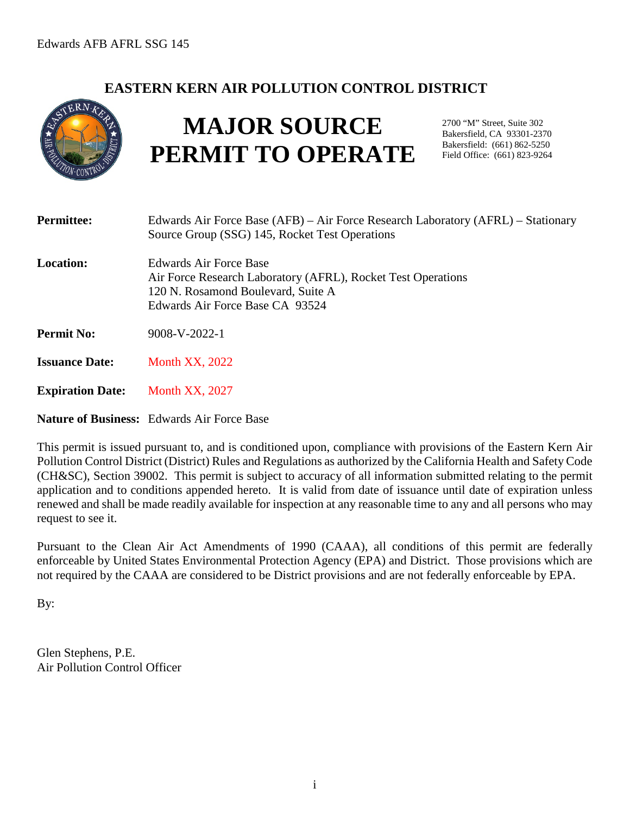# **EASTERN KERN AIR POLLUTION CONTROL DISTRICT**



# **MAJOR SOURCE PERMIT TO OPERATE**

2700 "M" Street, Suite 302 Bakersfield, CA 93301-2370 Bakersfield: (661) 862-5250 Field Office: (661) 823-9264

| <b>Permittee:</b>       | Edwards Air Force Base (AFB) – Air Force Research Laboratory (AFRL) – Stationary<br>Source Group (SSG) 145, Rocket Test Operations                              |
|-------------------------|-----------------------------------------------------------------------------------------------------------------------------------------------------------------|
| <b>Location:</b>        | Edwards Air Force Base<br>Air Force Research Laboratory (AFRL), Rocket Test Operations<br>120 N. Rosamond Boulevard, Suite A<br>Edwards Air Force Base CA 93524 |
| <b>Permit No:</b>       | 9008-V-2022-1                                                                                                                                                   |
| <b>Issuance Date:</b>   | <b>Month XX, 2022</b>                                                                                                                                           |
| <b>Expiration Date:</b> | <b>Month XX, 2027</b>                                                                                                                                           |
|                         | <b>Nature of Business:</b> Edwards Air Force Base                                                                                                               |

This permit is issued pursuant to, and is conditioned upon, compliance with provisions of the Eastern Kern Air Pollution Control District (District) Rules and Regulations as authorized by the California Health and Safety Code (CH&SC), Section 39002. This permit is subject to accuracy of all information submitted relating to the permit application and to conditions appended hereto. It is valid from date of issuance until date of expiration unless renewed and shall be made readily available for inspection at any reasonable time to any and all persons who may request to see it.

Pursuant to the Clean Air Act Amendments of 1990 (CAAA), all conditions of this permit are federally enforceable by United States Environmental Protection Agency (EPA) and District. Those provisions which are not required by the CAAA are considered to be District provisions and are not federally enforceable by EPA.

By:

Glen Stephens, P.E. Air Pollution Control Officer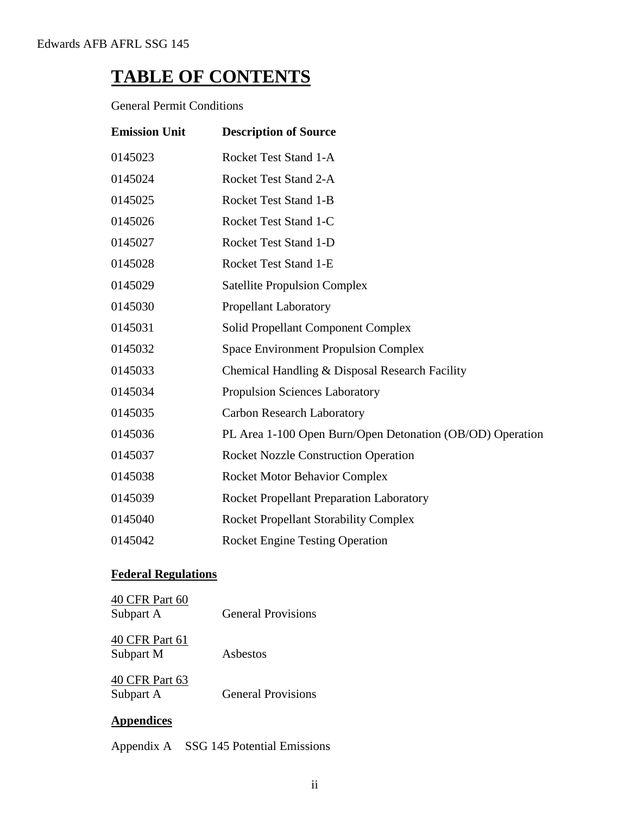# **TABLE OF CONTENTS**

General Permit Conditions

| <b>Emission Unit</b> | <b>Description of Source</b>                              |
|----------------------|-----------------------------------------------------------|
| 0145023              | Rocket Test Stand 1-A                                     |
| 0145024              | Rocket Test Stand 2-A                                     |
| 0145025              | <b>Rocket Test Stand 1-B</b>                              |
| 0145026              | Rocket Test Stand 1-C                                     |
| 0145027              | <b>Rocket Test Stand 1-D</b>                              |
| 0145028              | Rocket Test Stand 1-E                                     |
| 0145029              | <b>Satellite Propulsion Complex</b>                       |
| 0145030              | <b>Propellant Laboratory</b>                              |
| 0145031              | <b>Solid Propellant Component Complex</b>                 |
| 0145032              | <b>Space Environment Propulsion Complex</b>               |
| 0145033              | Chemical Handling & Disposal Research Facility            |
| 0145034              | <b>Propulsion Sciences Laboratory</b>                     |
| 0145035              | <b>Carbon Research Laboratory</b>                         |
| 0145036              | PL Area 1-100 Open Burn/Open Detonation (OB/OD) Operation |
| 0145037              | <b>Rocket Nozzle Construction Operation</b>               |
| 0145038              | <b>Rocket Motor Behavior Complex</b>                      |
| 0145039              | <b>Rocket Propellant Preparation Laboratory</b>           |
| 0145040              | <b>Rocket Propellant Storability Complex</b>              |
| 0145042              | <b>Rocket Engine Testing Operation</b>                    |

# **Federal Regulations**

| 40 CFR Part 60<br>Subpart A | <b>General Provisions</b> |
|-----------------------------|---------------------------|
| 40 CFR Part 61<br>Subpart M | Asbestos                  |
| 40 CFR Part 63<br>Subpart A | <b>General Provisions</b> |

# **Appendices**

Appendix A SSG 145 Potential Emissions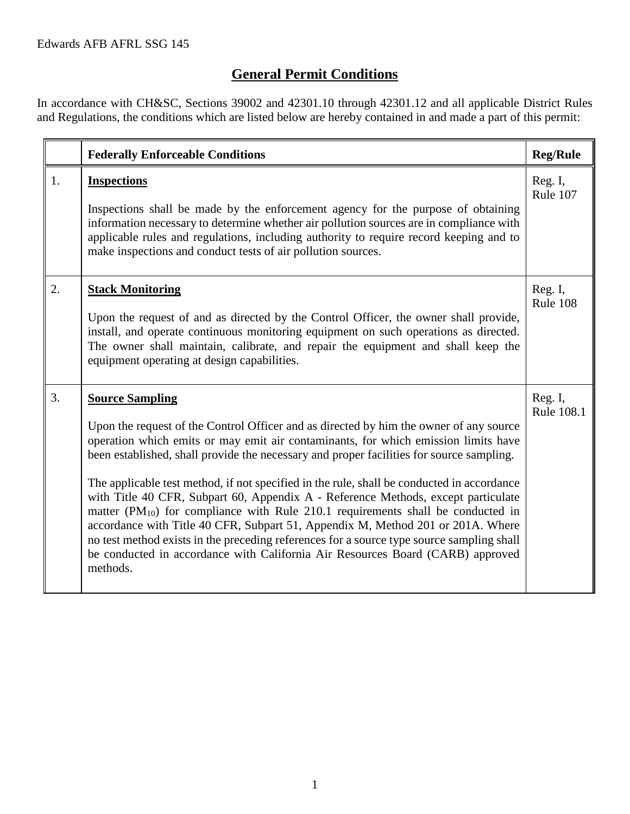# **General Permit Conditions**

In accordance with CH&SC, Sections 39002 and 42301.10 through 42301.12 and all applicable District Rules and Regulations, the conditions which are listed below are hereby contained in and made a part of this permit:

|    | <b>Federally Enforceable Conditions</b>                                                                                                                                                                                                                                                                                                                                                                                                                                                                                                                                                                                                                                                                                                                                                                                                                       | <b>Reg/Rule</b>       |
|----|---------------------------------------------------------------------------------------------------------------------------------------------------------------------------------------------------------------------------------------------------------------------------------------------------------------------------------------------------------------------------------------------------------------------------------------------------------------------------------------------------------------------------------------------------------------------------------------------------------------------------------------------------------------------------------------------------------------------------------------------------------------------------------------------------------------------------------------------------------------|-----------------------|
| 1. | <b>Inspections</b><br>Inspections shall be made by the enforcement agency for the purpose of obtaining<br>information necessary to determine whether air pollution sources are in compliance with<br>applicable rules and regulations, including authority to require record keeping and to<br>make inspections and conduct tests of air pollution sources.                                                                                                                                                                                                                                                                                                                                                                                                                                                                                                   | Reg. I,<br>Rule 107   |
| 2. | <b>Stack Monitoring</b><br>Upon the request of and as directed by the Control Officer, the owner shall provide,<br>install, and operate continuous monitoring equipment on such operations as directed.<br>The owner shall maintain, calibrate, and repair the equipment and shall keep the<br>equipment operating at design capabilities.                                                                                                                                                                                                                                                                                                                                                                                                                                                                                                                    | Reg. I,<br>Rule 108   |
| 3. | <b>Source Sampling</b><br>Upon the request of the Control Officer and as directed by him the owner of any source<br>operation which emits or may emit air contaminants, for which emission limits have<br>been established, shall provide the necessary and proper facilities for source sampling.<br>The applicable test method, if not specified in the rule, shall be conducted in accordance<br>with Title 40 CFR, Subpart 60, Appendix A - Reference Methods, except particulate<br>matter ( $PM_{10}$ ) for compliance with Rule 210.1 requirements shall be conducted in<br>accordance with Title 40 CFR, Subpart 51, Appendix M, Method 201 or 201A. Where<br>no test method exists in the preceding references for a source type source sampling shall<br>be conducted in accordance with California Air Resources Board (CARB) approved<br>methods. | Reg. I,<br>Rule 108.1 |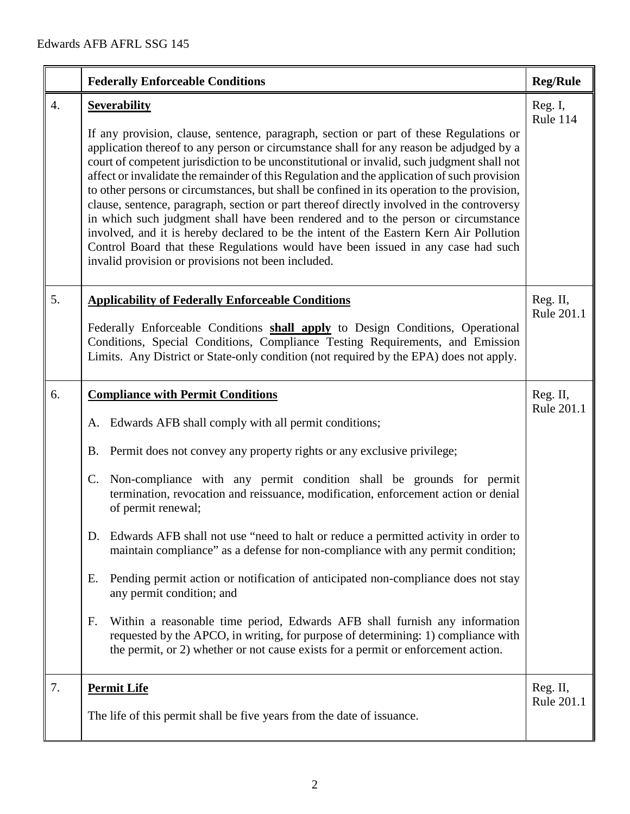|    | <b>Federally Enforceable Conditions</b>                                                                                                                                                                                                                                                                                                                                                                                                                                                                                                                                                                                                                                                                                                                                                                                                                                                                                                            | <b>Reg/Rule</b>        |
|----|----------------------------------------------------------------------------------------------------------------------------------------------------------------------------------------------------------------------------------------------------------------------------------------------------------------------------------------------------------------------------------------------------------------------------------------------------------------------------------------------------------------------------------------------------------------------------------------------------------------------------------------------------------------------------------------------------------------------------------------------------------------------------------------------------------------------------------------------------------------------------------------------------------------------------------------------------|------------------------|
| 4. | <b>Severability</b><br>If any provision, clause, sentence, paragraph, section or part of these Regulations or<br>application thereof to any person or circumstance shall for any reason be adjudged by a<br>court of competent jurisdiction to be unconstitutional or invalid, such judgment shall not<br>affect or invalidate the remainder of this Regulation and the application of such provision<br>to other persons or circumstances, but shall be confined in its operation to the provision,<br>clause, sentence, paragraph, section or part thereof directly involved in the controversy<br>in which such judgment shall have been rendered and to the person or circumstance<br>involved, and it is hereby declared to be the intent of the Eastern Kern Air Pollution<br>Control Board that these Regulations would have been issued in any case had such<br>invalid provision or provisions not been included.                         | Reg. I,<br>Rule 114    |
| 5. | <b>Applicability of Federally Enforceable Conditions</b><br>Federally Enforceable Conditions shall apply to Design Conditions, Operational<br>Conditions, Special Conditions, Compliance Testing Requirements, and Emission<br>Limits. Any District or State-only condition (not required by the EPA) does not apply.                                                                                                                                                                                                                                                                                                                                                                                                                                                                                                                                                                                                                              | Reg. II,<br>Rule 201.1 |
| 6. | <b>Compliance with Permit Conditions</b><br>A. Edwards AFB shall comply with all permit conditions;<br>Permit does not convey any property rights or any exclusive privilege;<br>Β.<br>Non-compliance with any permit condition shall be grounds for permit<br>C.<br>termination, revocation and reissuance, modification, enforcement action or denial<br>of permit renewal;<br>Edwards AFB shall not use "need to halt or reduce a permitted activity in order to<br>D.<br>maintain compliance" as a defense for non-compliance with any permit condition;<br>Pending permit action or notification of anticipated non-compliance does not stay<br>Ε.<br>any permit condition; and<br>F.<br>Within a reasonable time period, Edwards AFB shall furnish any information<br>requested by the APCO, in writing, for purpose of determining: 1) compliance with<br>the permit, or 2) whether or not cause exists for a permit or enforcement action. | Reg. II,<br>Rule 201.1 |
| 7. | <b>Permit Life</b><br>The life of this permit shall be five years from the date of issuance.                                                                                                                                                                                                                                                                                                                                                                                                                                                                                                                                                                                                                                                                                                                                                                                                                                                       | Reg. II,<br>Rule 201.1 |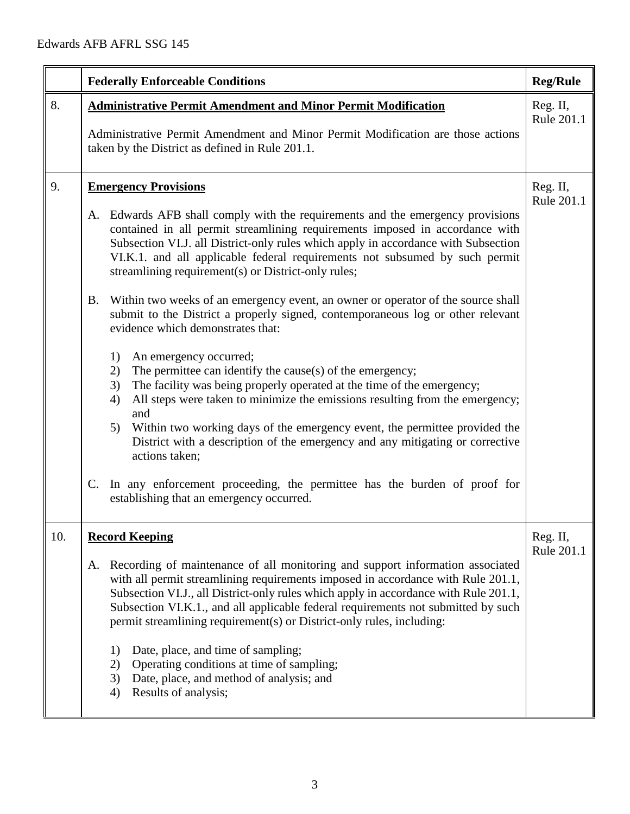|     | <b>Federally Enforceable Conditions</b>                                                                                                                                                                                                                                                                                                                                                                                                                                                                                                                                                                                                                                                                                                                                                                                                                                                                                                                                                                                                                                                                                                                                                                                                                      | <b>Reg/Rule</b>        |
|-----|--------------------------------------------------------------------------------------------------------------------------------------------------------------------------------------------------------------------------------------------------------------------------------------------------------------------------------------------------------------------------------------------------------------------------------------------------------------------------------------------------------------------------------------------------------------------------------------------------------------------------------------------------------------------------------------------------------------------------------------------------------------------------------------------------------------------------------------------------------------------------------------------------------------------------------------------------------------------------------------------------------------------------------------------------------------------------------------------------------------------------------------------------------------------------------------------------------------------------------------------------------------|------------------------|
| 8.  | <b>Administrative Permit Amendment and Minor Permit Modification</b><br>Administrative Permit Amendment and Minor Permit Modification are those actions<br>taken by the District as defined in Rule 201.1.                                                                                                                                                                                                                                                                                                                                                                                                                                                                                                                                                                                                                                                                                                                                                                                                                                                                                                                                                                                                                                                   | Reg. II,<br>Rule 201.1 |
| 9.  | <b>Emergency Provisions</b><br>A. Edwards AFB shall comply with the requirements and the emergency provisions<br>contained in all permit streamlining requirements imposed in accordance with<br>Subsection VI.J. all District-only rules which apply in accordance with Subsection<br>VI.K.1. and all applicable federal requirements not subsumed by such permit<br>streamlining requirement(s) or District-only rules;<br>Within two weeks of an emergency event, an owner or operator of the source shall<br>B.<br>submit to the District a properly signed, contemporaneous log or other relevant<br>evidence which demonstrates that:<br>1)<br>An emergency occurred;<br>2)<br>The permittee can identify the cause(s) of the emergency;<br>The facility was being properly operated at the time of the emergency;<br>3)<br>All steps were taken to minimize the emissions resulting from the emergency;<br>4)<br>and<br>Within two working days of the emergency event, the permittee provided the<br>5)<br>District with a description of the emergency and any mitigating or corrective<br>actions taken;<br>In any enforcement proceeding, the permittee has the burden of proof for<br>$\mathbf{C}$ .<br>establishing that an emergency occurred. | Reg. II,<br>Rule 201.1 |
| 10. | <b>Record Keeping</b><br>Recording of maintenance of all monitoring and support information associated<br>A.<br>with all permit streamlining requirements imposed in accordance with Rule 201.1,<br>Subsection VI.J., all District-only rules which apply in accordance with Rule 201.1,<br>Subsection VI.K.1., and all applicable federal requirements not submitted by such<br>permit streamlining requirement(s) or District-only rules, including:<br>Date, place, and time of sampling;<br>1)<br>Operating conditions at time of sampling;<br>2)<br>Date, place, and method of analysis; and<br>3)<br>Results of analysis;<br>4)                                                                                                                                                                                                                                                                                                                                                                                                                                                                                                                                                                                                                        | Reg. II,<br>Rule 201.1 |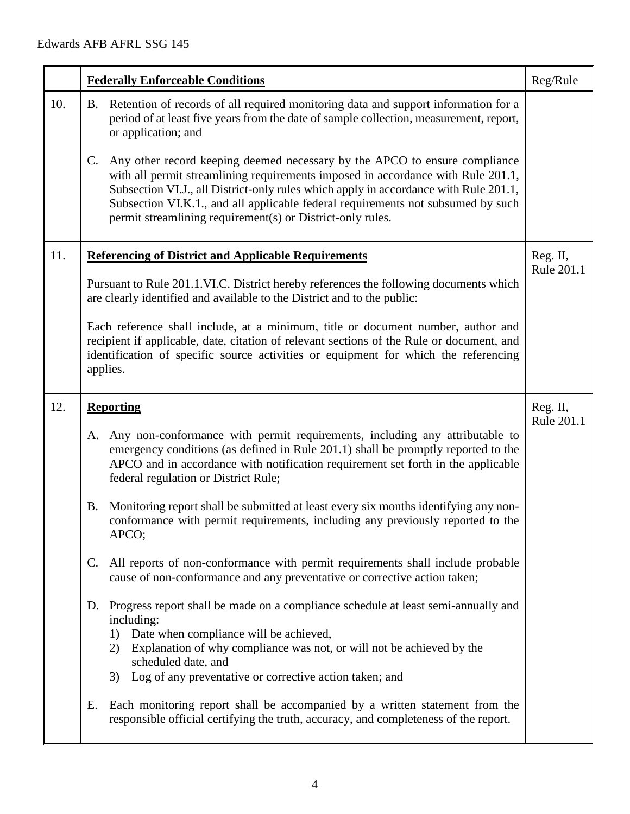|     | <b>Federally Enforceable Conditions</b>                                                                                                                                                                                                                                                                                                                                                                                    | Reg/Rule               |
|-----|----------------------------------------------------------------------------------------------------------------------------------------------------------------------------------------------------------------------------------------------------------------------------------------------------------------------------------------------------------------------------------------------------------------------------|------------------------|
| 10. | Retention of records of all required monitoring data and support information for a<br>B.<br>period of at least five years from the date of sample collection, measurement, report,<br>or application; and                                                                                                                                                                                                                  |                        |
|     | Any other record keeping deemed necessary by the APCO to ensure compliance<br>$\mathbf{C}$ .<br>with all permit streamlining requirements imposed in accordance with Rule 201.1,<br>Subsection VI.J., all District-only rules which apply in accordance with Rule 201.1,<br>Subsection VI.K.1., and all applicable federal requirements not subsumed by such<br>permit streamlining requirement(s) or District-only rules. |                        |
| 11. | <b>Referencing of District and Applicable Requirements</b>                                                                                                                                                                                                                                                                                                                                                                 | Reg. II,<br>Rule 201.1 |
|     | Pursuant to Rule 201.1.VI.C. District hereby references the following documents which<br>are clearly identified and available to the District and to the public:                                                                                                                                                                                                                                                           |                        |
|     | Each reference shall include, at a minimum, title or document number, author and<br>recipient if applicable, date, citation of relevant sections of the Rule or document, and<br>identification of specific source activities or equipment for which the referencing<br>applies.                                                                                                                                           |                        |
| 12. | <b>Reporting</b>                                                                                                                                                                                                                                                                                                                                                                                                           | Reg. II,<br>Rule 201.1 |
|     | A. Any non-conformance with permit requirements, including any attributable to<br>emergency conditions (as defined in Rule 201.1) shall be promptly reported to the<br>APCO and in accordance with notification requirement set forth in the applicable<br>federal regulation or District Rule;                                                                                                                            |                        |
|     | Monitoring report shall be submitted at least every six months identifying any non-<br>Β.<br>conformance with permit requirements, including any previously reported to the<br>APCO;                                                                                                                                                                                                                                       |                        |
|     | All reports of non-conformance with permit requirements shall include probable<br>C.<br>cause of non-conformance and any preventative or corrective action taken;                                                                                                                                                                                                                                                          |                        |
|     | Progress report shall be made on a compliance schedule at least semi-annually and<br>D.<br>including:<br>Date when compliance will be achieved,<br>1)<br>Explanation of why compliance was not, or will not be achieved by the<br>2)<br>scheduled date, and<br>Log of any preventative or corrective action taken; and<br>3)                                                                                               |                        |
|     | Each monitoring report shall be accompanied by a written statement from the<br>Ε.<br>responsible official certifying the truth, accuracy, and completeness of the report.                                                                                                                                                                                                                                                  |                        |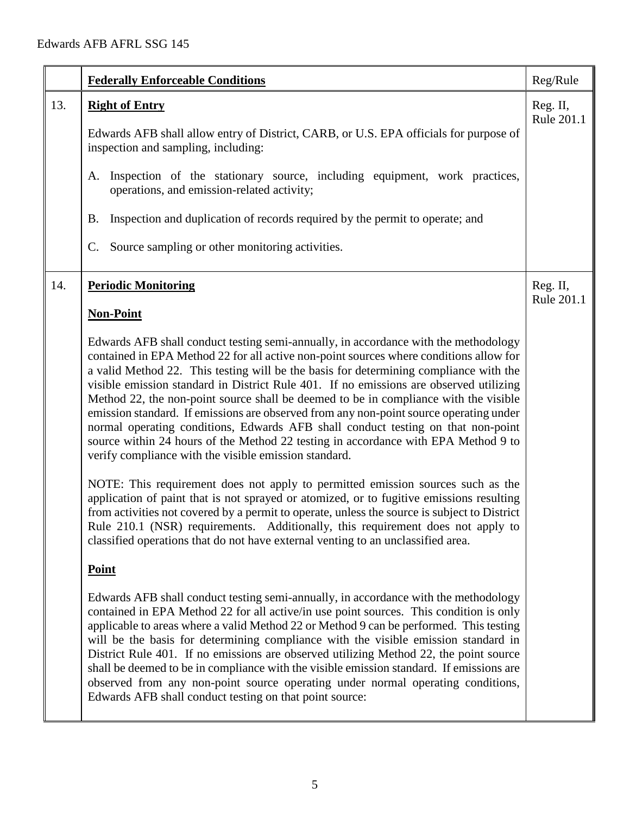| <b>Federally Enforceable Conditions</b>                                                                                                                                                                                                                                                                                                                                                                                                                                                                                                                                                                                                                                                                                                                                                                                                                                                                                                                                                                                                                                                                                                                                                                                                                                                                                                                                                                                                                                                                                                                                                                                                                                                                                                                                                                                                                                    | Reg/Rule               |
|----------------------------------------------------------------------------------------------------------------------------------------------------------------------------------------------------------------------------------------------------------------------------------------------------------------------------------------------------------------------------------------------------------------------------------------------------------------------------------------------------------------------------------------------------------------------------------------------------------------------------------------------------------------------------------------------------------------------------------------------------------------------------------------------------------------------------------------------------------------------------------------------------------------------------------------------------------------------------------------------------------------------------------------------------------------------------------------------------------------------------------------------------------------------------------------------------------------------------------------------------------------------------------------------------------------------------------------------------------------------------------------------------------------------------------------------------------------------------------------------------------------------------------------------------------------------------------------------------------------------------------------------------------------------------------------------------------------------------------------------------------------------------------------------------------------------------------------------------------------------------|------------------------|
| 13.<br><b>Right of Entry</b><br>Edwards AFB shall allow entry of District, CARB, or U.S. EPA officials for purpose of<br>inspection and sampling, including:<br>A. Inspection of the stationary source, including equipment, work practices,<br>operations, and emission-related activity;<br>Inspection and duplication of records required by the permit to operate; and<br>Β.<br>Source sampling or other monitoring activities.<br>C.                                                                                                                                                                                                                                                                                                                                                                                                                                                                                                                                                                                                                                                                                                                                                                                                                                                                                                                                                                                                                                                                                                                                                                                                                                                                                                                                                                                                                                  | Reg. II,<br>Rule 201.1 |
| 14.<br><b>Periodic Monitoring</b><br><b>Non-Point</b><br>Edwards AFB shall conduct testing semi-annually, in accordance with the methodology<br>contained in EPA Method 22 for all active non-point sources where conditions allow for<br>a valid Method 22. This testing will be the basis for determining compliance with the<br>visible emission standard in District Rule 401. If no emissions are observed utilizing<br>Method 22, the non-point source shall be deemed to be in compliance with the visible<br>emission standard. If emissions are observed from any non-point source operating under<br>normal operating conditions, Edwards AFB shall conduct testing on that non-point<br>source within 24 hours of the Method 22 testing in accordance with EPA Method 9 to<br>verify compliance with the visible emission standard.<br>NOTE: This requirement does not apply to permitted emission sources such as the<br>application of paint that is not sprayed or atomized, or to fugitive emissions resulting<br>from activities not covered by a permit to operate, unless the source is subject to District<br>Rule 210.1 (NSR) requirements. Additionally, this requirement does not apply to<br>classified operations that do not have external venting to an unclassified area.<br><b>Point</b><br>Edwards AFB shall conduct testing semi-annually, in accordance with the methodology<br>contained in EPA Method 22 for all active/in use point sources. This condition is only<br>applicable to areas where a valid Method 22 or Method 9 can be performed. This testing<br>will be the basis for determining compliance with the visible emission standard in<br>District Rule 401. If no emissions are observed utilizing Method 22, the point source<br>shall be deemed to be in compliance with the visible emission standard. If emissions are | Reg. II,<br>Rule 201.1 |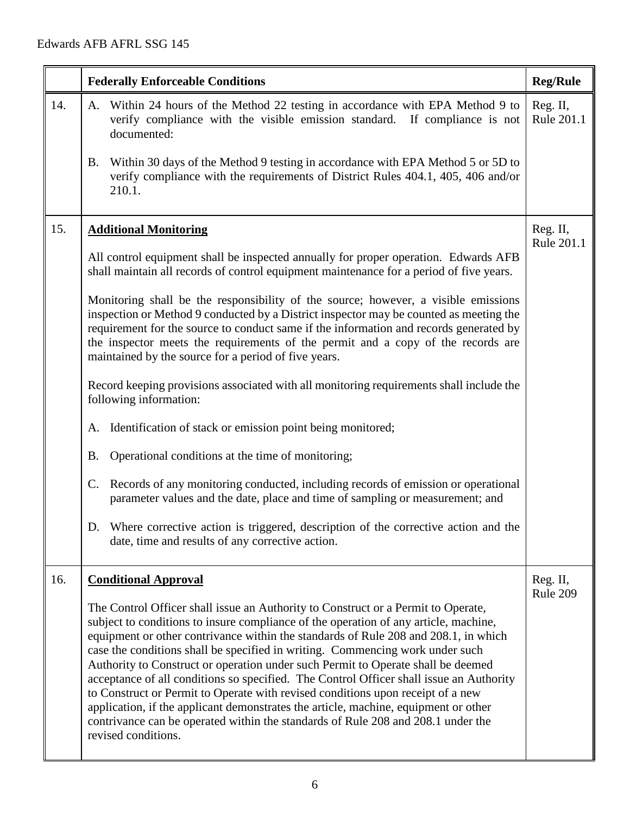|     | <b>Federally Enforceable Conditions</b>                                                                                                                                                                                                                                                                                                                                                                                                                                                                                                                                                                                                                                                                                                                                                                               | <b>Reg/Rule</b>        |
|-----|-----------------------------------------------------------------------------------------------------------------------------------------------------------------------------------------------------------------------------------------------------------------------------------------------------------------------------------------------------------------------------------------------------------------------------------------------------------------------------------------------------------------------------------------------------------------------------------------------------------------------------------------------------------------------------------------------------------------------------------------------------------------------------------------------------------------------|------------------------|
| 14. | Within 24 hours of the Method 22 testing in accordance with EPA Method 9 to<br>Α.<br>verify compliance with the visible emission standard. If compliance is not<br>documented:                                                                                                                                                                                                                                                                                                                                                                                                                                                                                                                                                                                                                                        | Reg. II,<br>Rule 201.1 |
|     | Within 30 days of the Method 9 testing in accordance with EPA Method 5 or 5D to<br>B.<br>verify compliance with the requirements of District Rules 404.1, 405, 406 and/or<br>210.1.                                                                                                                                                                                                                                                                                                                                                                                                                                                                                                                                                                                                                                   |                        |
| 15. | <b>Additional Monitoring</b>                                                                                                                                                                                                                                                                                                                                                                                                                                                                                                                                                                                                                                                                                                                                                                                          | Reg. II,<br>Rule 201.1 |
|     | All control equipment shall be inspected annually for proper operation. Edwards AFB<br>shall maintain all records of control equipment maintenance for a period of five years.                                                                                                                                                                                                                                                                                                                                                                                                                                                                                                                                                                                                                                        |                        |
|     | Monitoring shall be the responsibility of the source; however, a visible emissions<br>inspection or Method 9 conducted by a District inspector may be counted as meeting the<br>requirement for the source to conduct same if the information and records generated by<br>the inspector meets the requirements of the permit and a copy of the records are<br>maintained by the source for a period of five years.                                                                                                                                                                                                                                                                                                                                                                                                    |                        |
|     | Record keeping provisions associated with all monitoring requirements shall include the<br>following information:                                                                                                                                                                                                                                                                                                                                                                                                                                                                                                                                                                                                                                                                                                     |                        |
|     | Identification of stack or emission point being monitored;<br>A.                                                                                                                                                                                                                                                                                                                                                                                                                                                                                                                                                                                                                                                                                                                                                      |                        |
|     | Operational conditions at the time of monitoring;<br>B.                                                                                                                                                                                                                                                                                                                                                                                                                                                                                                                                                                                                                                                                                                                                                               |                        |
|     | Records of any monitoring conducted, including records of emission or operational<br>C.<br>parameter values and the date, place and time of sampling or measurement; and                                                                                                                                                                                                                                                                                                                                                                                                                                                                                                                                                                                                                                              |                        |
|     | D. Where corrective action is triggered, description of the corrective action and the<br>date, time and results of any corrective action.                                                                                                                                                                                                                                                                                                                                                                                                                                                                                                                                                                                                                                                                             |                        |
| 16. | <b>Conditional Approval</b>                                                                                                                                                                                                                                                                                                                                                                                                                                                                                                                                                                                                                                                                                                                                                                                           | Reg. II,<br>Rule 209   |
|     | The Control Officer shall issue an Authority to Construct or a Permit to Operate,<br>subject to conditions to insure compliance of the operation of any article, machine,<br>equipment or other contrivance within the standards of Rule 208 and 208.1, in which<br>case the conditions shall be specified in writing. Commencing work under such<br>Authority to Construct or operation under such Permit to Operate shall be deemed<br>acceptance of all conditions so specified. The Control Officer shall issue an Authority<br>to Construct or Permit to Operate with revised conditions upon receipt of a new<br>application, if the applicant demonstrates the article, machine, equipment or other<br>contrivance can be operated within the standards of Rule 208 and 208.1 under the<br>revised conditions. |                        |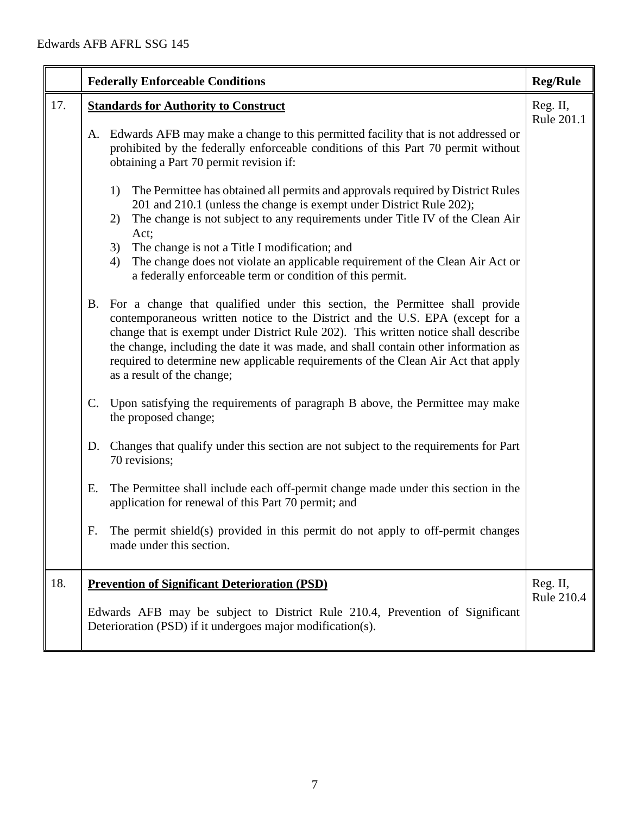|     |    | <b>Federally Enforceable Conditions</b>                                                                                                                                                                                                                                                                                                                                                                                                                     | <b>Reg/Rule</b>               |
|-----|----|-------------------------------------------------------------------------------------------------------------------------------------------------------------------------------------------------------------------------------------------------------------------------------------------------------------------------------------------------------------------------------------------------------------------------------------------------------------|-------------------------------|
| 17. |    | <b>Standards for Authority to Construct</b>                                                                                                                                                                                                                                                                                                                                                                                                                 | Reg. II,<br>Rule 201.1        |
|     | А. | Edwards AFB may make a change to this permitted facility that is not addressed or<br>prohibited by the federally enforceable conditions of this Part 70 permit without<br>obtaining a Part 70 permit revision if:                                                                                                                                                                                                                                           |                               |
|     |    | The Permittee has obtained all permits and approvals required by District Rules<br>1)<br>201 and 210.1 (unless the change is exempt under District Rule 202);<br>The change is not subject to any requirements under Title IV of the Clean Air<br>2)<br>Act;<br>3)<br>The change is not a Title I modification; and                                                                                                                                         |                               |
|     |    | The change does not violate an applicable requirement of the Clean Air Act or<br>4)<br>a federally enforceable term or condition of this permit.                                                                                                                                                                                                                                                                                                            |                               |
|     | B. | For a change that qualified under this section, the Permittee shall provide<br>contemporaneous written notice to the District and the U.S. EPA (except for a<br>change that is exempt under District Rule 202). This written notice shall describe<br>the change, including the date it was made, and shall contain other information as<br>required to determine new applicable requirements of the Clean Air Act that apply<br>as a result of the change; |                               |
|     | C. | Upon satisfying the requirements of paragraph B above, the Permittee may make<br>the proposed change;                                                                                                                                                                                                                                                                                                                                                       |                               |
|     | D. | Changes that qualify under this section are not subject to the requirements for Part<br>70 revisions;                                                                                                                                                                                                                                                                                                                                                       |                               |
|     | Ε. | The Permittee shall include each off-permit change made under this section in the<br>application for renewal of this Part 70 permit; and                                                                                                                                                                                                                                                                                                                    |                               |
|     | F. | The permit shield(s) provided in this permit do not apply to off-permit changes<br>made under this section.                                                                                                                                                                                                                                                                                                                                                 |                               |
| 18. |    | <b>Prevention of Significant Deterioration (PSD)</b>                                                                                                                                                                                                                                                                                                                                                                                                        | Reg. II,<br><b>Rule 210.4</b> |
|     |    | Edwards AFB may be subject to District Rule 210.4, Prevention of Significant<br>Deterioration (PSD) if it undergoes major modification(s).                                                                                                                                                                                                                                                                                                                  |                               |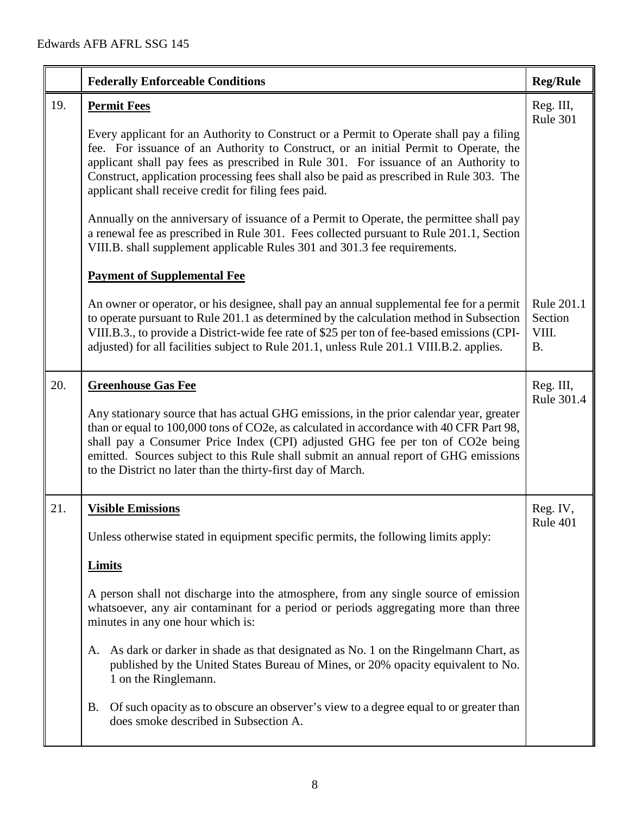|     | <b>Federally Enforceable Conditions</b>                                                                                                                                                                                                                                                                                                                                                                                                                                                                                                                                                                                                                                                                                                                   | <b>Reg/Rule</b>                             |
|-----|-----------------------------------------------------------------------------------------------------------------------------------------------------------------------------------------------------------------------------------------------------------------------------------------------------------------------------------------------------------------------------------------------------------------------------------------------------------------------------------------------------------------------------------------------------------------------------------------------------------------------------------------------------------------------------------------------------------------------------------------------------------|---------------------------------------------|
| 19. | <b>Permit Fees</b><br>Every applicant for an Authority to Construct or a Permit to Operate shall pay a filing<br>fee. For issuance of an Authority to Construct, or an initial Permit to Operate, the<br>applicant shall pay fees as prescribed in Rule 301. For issuance of an Authority to<br>Construct, application processing fees shall also be paid as prescribed in Rule 303. The<br>applicant shall receive credit for filing fees paid.<br>Annually on the anniversary of issuance of a Permit to Operate, the permittee shall pay<br>a renewal fee as prescribed in Rule 301. Fees collected pursuant to Rule 201.1, Section<br>VIII.B. shall supplement applicable Rules 301 and 301.3 fee requirements.<br><b>Payment of Supplemental Fee</b> | Reg. III,<br>Rule 301                       |
|     | An owner or operator, or his designee, shall pay an annual supplemental fee for a permit<br>to operate pursuant to Rule 201.1 as determined by the calculation method in Subsection<br>VIII.B.3., to provide a District-wide fee rate of \$25 per ton of fee-based emissions (CPI-<br>adjusted) for all facilities subject to Rule 201.1, unless Rule 201.1 VIII.B.2. applies.                                                                                                                                                                                                                                                                                                                                                                            | Rule 201.1<br>Section<br>VIII.<br><b>B.</b> |
| 20. | <b>Greenhouse Gas Fee</b><br>Any stationary source that has actual GHG emissions, in the prior calendar year, greater<br>than or equal to 100,000 tons of CO2e, as calculated in accordance with 40 CFR Part 98,<br>shall pay a Consumer Price Index (CPI) adjusted GHG fee per ton of CO2e being<br>emitted. Sources subject to this Rule shall submit an annual report of GHG emissions<br>to the District no later than the thirty-first day of March.                                                                                                                                                                                                                                                                                                 | Reg. III,<br>Rule 301.4                     |
| 21. | <b>Visible Emissions</b><br>Unless otherwise stated in equipment specific permits, the following limits apply:<br><b>Limits</b><br>A person shall not discharge into the atmosphere, from any single source of emission<br>whatsoever, any air contaminant for a period or periods aggregating more than three<br>minutes in any one hour which is:<br>A. As dark or darker in shade as that designated as No. 1 on the Ringelmann Chart, as<br>published by the United States Bureau of Mines, or 20% opacity equivalent to No.<br>1 on the Ringlemann.<br>Of such opacity as to obscure an observer's view to a degree equal to or greater than<br><b>B.</b><br>does smoke described in Subsection A.                                                   | Reg. IV,<br>Rule 401                        |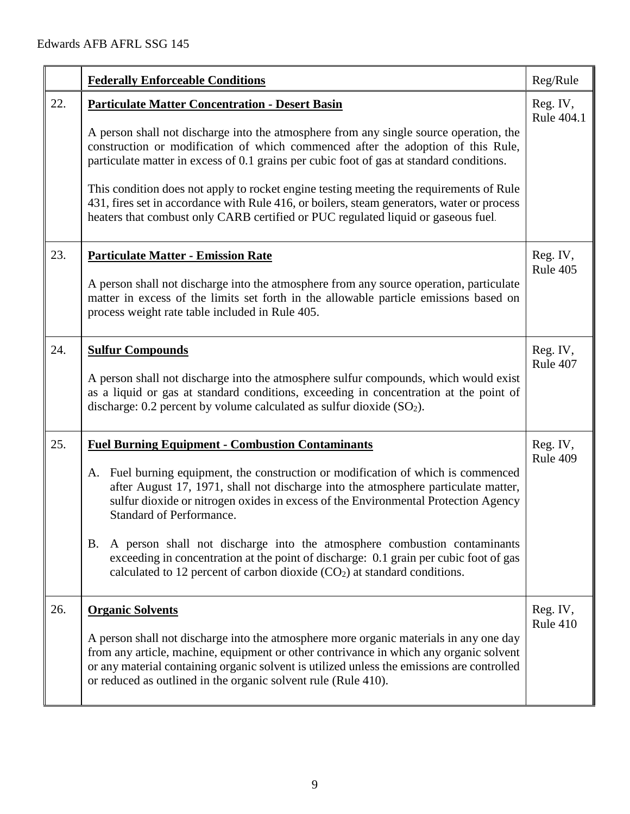|     | <b>Federally Enforceable Conditions</b>                                                                                                                                                                                                                                                                                                                                                                                                                                                                                                                                                                           | Reg/Rule               |
|-----|-------------------------------------------------------------------------------------------------------------------------------------------------------------------------------------------------------------------------------------------------------------------------------------------------------------------------------------------------------------------------------------------------------------------------------------------------------------------------------------------------------------------------------------------------------------------------------------------------------------------|------------------------|
| 22. | <b>Particulate Matter Concentration - Desert Basin</b><br>A person shall not discharge into the atmosphere from any single source operation, the<br>construction or modification of which commenced after the adoption of this Rule,<br>particulate matter in excess of 0.1 grains per cubic foot of gas at standard conditions.<br>This condition does not apply to rocket engine testing meeting the requirements of Rule<br>431, fires set in accordance with Rule 416, or boilers, steam generators, water or process<br>heaters that combust only CARB certified or PUC regulated liquid or gaseous fuel.    | Reg. IV,<br>Rule 404.1 |
| 23. | <b>Particulate Matter - Emission Rate</b><br>A person shall not discharge into the atmosphere from any source operation, particulate<br>matter in excess of the limits set forth in the allowable particle emissions based on<br>process weight rate table included in Rule 405.                                                                                                                                                                                                                                                                                                                                  | Reg. IV,<br>Rule 405   |
| 24. | <b>Sulfur Compounds</b><br>A person shall not discharge into the atmosphere sulfur compounds, which would exist<br>as a liquid or gas at standard conditions, exceeding in concentration at the point of<br>discharge: $0.2$ percent by volume calculated as sulfur dioxide $(SO2)$ .                                                                                                                                                                                                                                                                                                                             | Reg. IV,<br>Rule 407   |
| 25. | <b>Fuel Burning Equipment - Combustion Contaminants</b><br>A. Fuel burning equipment, the construction or modification of which is commenced<br>after August 17, 1971, shall not discharge into the atmosphere particulate matter,<br>sulfur dioxide or nitrogen oxides in excess of the Environmental Protection Agency<br><b>Standard of Performance.</b><br>B. A person shall not discharge into the atmosphere combustion contaminants<br>exceeding in concentration at the point of discharge: 0.1 grain per cubic foot of gas<br>calculated to 12 percent of carbon dioxide $(CO2)$ at standard conditions. | Reg. IV,<br>Rule 409   |
| 26. | <b>Organic Solvents</b><br>A person shall not discharge into the atmosphere more organic materials in any one day<br>from any article, machine, equipment or other contrivance in which any organic solvent<br>or any material containing organic solvent is utilized unless the emissions are controlled<br>or reduced as outlined in the organic solvent rule (Rule 410).                                                                                                                                                                                                                                       | Reg. IV,<br>Rule 410   |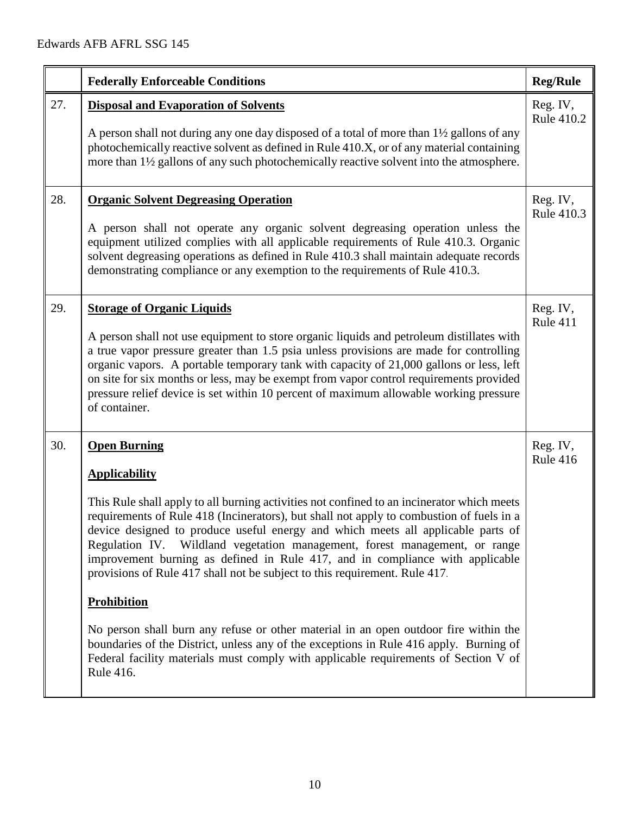|     | <b>Federally Enforceable Conditions</b>                                                                                                                                                                                                                                                                                                                                                                                                                                                                                                                                                                                                                                                                                                                                                                                                                                               | <b>Reg/Rule</b>        |
|-----|---------------------------------------------------------------------------------------------------------------------------------------------------------------------------------------------------------------------------------------------------------------------------------------------------------------------------------------------------------------------------------------------------------------------------------------------------------------------------------------------------------------------------------------------------------------------------------------------------------------------------------------------------------------------------------------------------------------------------------------------------------------------------------------------------------------------------------------------------------------------------------------|------------------------|
| 27. | <b>Disposal and Evaporation of Solvents</b><br>A person shall not during any one day disposed of a total of more than 1 <sup>1/2</sup> gallons of any<br>photochemically reactive solvent as defined in Rule 410.X, or of any material containing<br>more than 1½ gallons of any such photochemically reactive solvent into the atmosphere.                                                                                                                                                                                                                                                                                                                                                                                                                                                                                                                                           | Reg. IV,<br>Rule 410.2 |
| 28. | <b>Organic Solvent Degreasing Operation</b><br>A person shall not operate any organic solvent degreasing operation unless the<br>equipment utilized complies with all applicable requirements of Rule 410.3. Organic<br>solvent degreasing operations as defined in Rule 410.3 shall maintain adequate records<br>demonstrating compliance or any exemption to the requirements of Rule 410.3.                                                                                                                                                                                                                                                                                                                                                                                                                                                                                        | Reg. IV,<br>Rule 410.3 |
| 29. | <b>Storage of Organic Liquids</b><br>A person shall not use equipment to store organic liquids and petroleum distillates with<br>a true vapor pressure greater than 1.5 psia unless provisions are made for controlling<br>organic vapors. A portable temporary tank with capacity of 21,000 gallons or less, left<br>on site for six months or less, may be exempt from vapor control requirements provided<br>pressure relief device is set within 10 percent of maximum allowable working pressure<br>of container.                                                                                                                                                                                                                                                                                                                                                                | Reg. IV,<br>Rule 411   |
| 30. | <b>Open Burning</b><br><b>Applicability</b><br>This Rule shall apply to all burning activities not confined to an incinerator which meets<br>requirements of Rule 418 (Incinerators), but shall not apply to combustion of fuels in a<br>device designed to produce useful energy and which meets all applicable parts of<br>Wildland vegetation management, forest management, or range<br>Regulation IV.<br>improvement burning as defined in Rule 417, and in compliance with applicable<br>provisions of Rule 417 shall not be subject to this requirement. Rule 417.<br><b>Prohibition</b><br>No person shall burn any refuse or other material in an open outdoor fire within the<br>boundaries of the District, unless any of the exceptions in Rule 416 apply. Burning of<br>Federal facility materials must comply with applicable requirements of Section V of<br>Rule 416. | Reg. IV,<br>Rule 416   |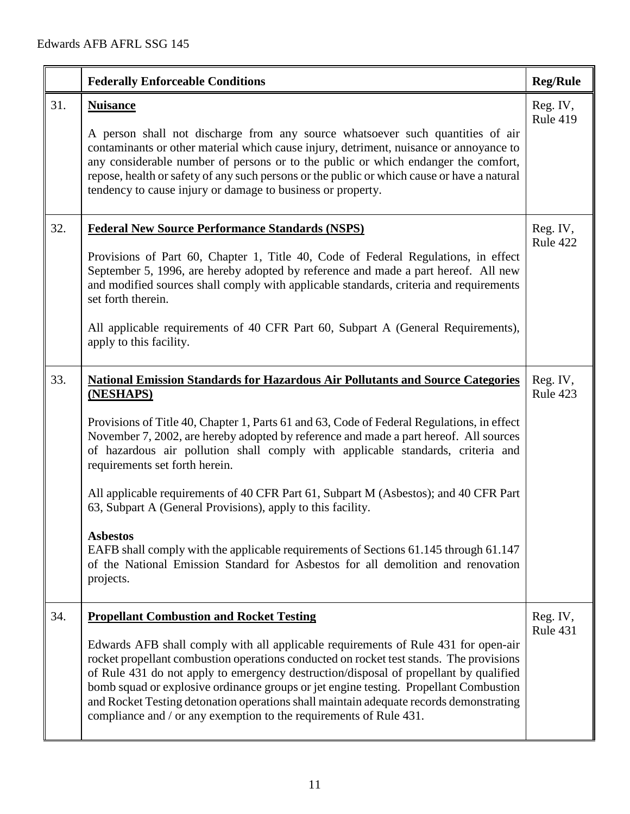|     | <b>Federally Enforceable Conditions</b>                                                                                                                                                                                                                                                                                                                                                                                                                                                                                                                                                                                                                                                                                                                                           | <b>Reg/Rule</b>             |
|-----|-----------------------------------------------------------------------------------------------------------------------------------------------------------------------------------------------------------------------------------------------------------------------------------------------------------------------------------------------------------------------------------------------------------------------------------------------------------------------------------------------------------------------------------------------------------------------------------------------------------------------------------------------------------------------------------------------------------------------------------------------------------------------------------|-----------------------------|
| 31. | <b>Nuisance</b><br>A person shall not discharge from any source whatsoever such quantities of air<br>contaminants or other material which cause injury, detriment, nuisance or annoyance to<br>any considerable number of persons or to the public or which endanger the comfort,<br>repose, health or safety of any such persons or the public or which cause or have a natural<br>tendency to cause injury or damage to business or property.                                                                                                                                                                                                                                                                                                                                   | Reg. IV,<br><b>Rule 419</b> |
| 32. | <b>Federal New Source Performance Standards (NSPS)</b><br>Provisions of Part 60, Chapter 1, Title 40, Code of Federal Regulations, in effect<br>September 5, 1996, are hereby adopted by reference and made a part hereof. All new<br>and modified sources shall comply with applicable standards, criteria and requirements<br>set forth therein.<br>All applicable requirements of 40 CFR Part 60, Subpart A (General Requirements),<br>apply to this facility.                                                                                                                                                                                                                                                                                                                 | Reg. IV,<br>Rule 422        |
| 33. | <b>National Emission Standards for Hazardous Air Pollutants and Source Categories</b><br>(NESHAPS)<br>Provisions of Title 40, Chapter 1, Parts 61 and 63, Code of Federal Regulations, in effect<br>November 7, 2002, are hereby adopted by reference and made a part hereof. All sources<br>of hazardous air pollution shall comply with applicable standards, criteria and<br>requirements set forth herein.<br>All applicable requirements of 40 CFR Part 61, Subpart M (Asbestos); and 40 CFR Part<br>63, Subpart A (General Provisions), apply to this facility.<br><b>Asbestos</b><br>EAFB shall comply with the applicable requirements of Sections 61.145 through 61.147<br>of the National Emission Standard for Asbestos for all demolition and renovation<br>projects. | Reg. IV,<br>Rule 423        |
| 34. | <b>Propellant Combustion and Rocket Testing</b><br>Edwards AFB shall comply with all applicable requirements of Rule 431 for open-air<br>rocket propellant combustion operations conducted on rocket test stands. The provisions<br>of Rule 431 do not apply to emergency destruction/disposal of propellant by qualified<br>bomb squad or explosive ordinance groups or jet engine testing. Propellant Combustion<br>and Rocket Testing detonation operations shall maintain adequate records demonstrating<br>compliance and / or any exemption to the requirements of Rule 431.                                                                                                                                                                                                | Reg. IV,<br>Rule 431        |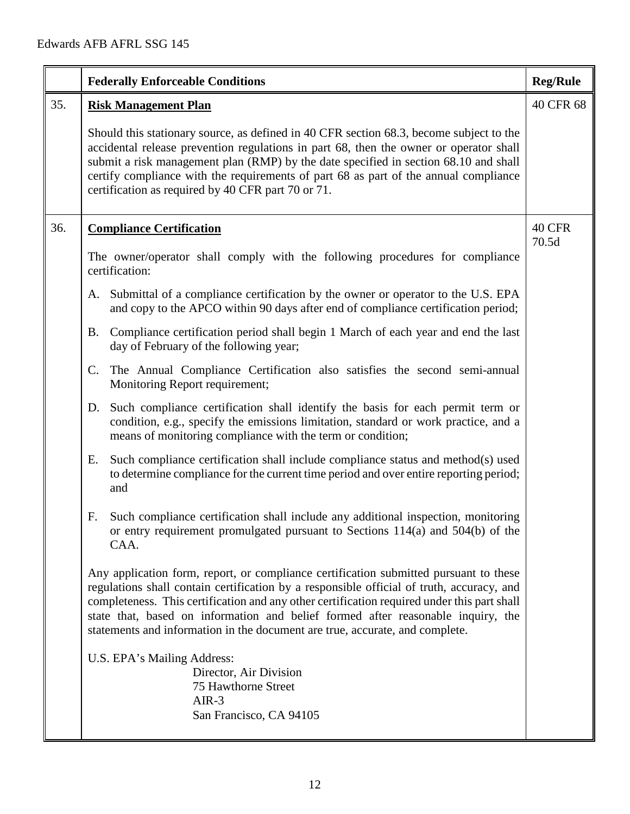|     | <b>Federally Enforceable Conditions</b>                                                                                                                                                                                                                                                                                                                                                                                                               | <b>Reg/Rule</b> |
|-----|-------------------------------------------------------------------------------------------------------------------------------------------------------------------------------------------------------------------------------------------------------------------------------------------------------------------------------------------------------------------------------------------------------------------------------------------------------|-----------------|
| 35. | <b>Risk Management Plan</b>                                                                                                                                                                                                                                                                                                                                                                                                                           | 40 CFR 68       |
|     | Should this stationary source, as defined in 40 CFR section 68.3, become subject to the<br>accidental release prevention regulations in part 68, then the owner or operator shall<br>submit a risk management plan (RMP) by the date specified in section 68.10 and shall<br>certify compliance with the requirements of part 68 as part of the annual compliance<br>certification as required by 40 CFR part 70 or 71.                               |                 |
| 36. | <b>Compliance Certification</b>                                                                                                                                                                                                                                                                                                                                                                                                                       | 40 CFR<br>70.5d |
|     | The owner/operator shall comply with the following procedures for compliance<br>certification:                                                                                                                                                                                                                                                                                                                                                        |                 |
|     | A. Submittal of a compliance certification by the owner or operator to the U.S. EPA<br>and copy to the APCO within 90 days after end of compliance certification period;                                                                                                                                                                                                                                                                              |                 |
|     | Compliance certification period shall begin 1 March of each year and end the last<br>Β.<br>day of February of the following year;                                                                                                                                                                                                                                                                                                                     |                 |
|     | The Annual Compliance Certification also satisfies the second semi-annual<br>C.<br>Monitoring Report requirement;                                                                                                                                                                                                                                                                                                                                     |                 |
|     | D. Such compliance certification shall identify the basis for each permit term or<br>condition, e.g., specify the emissions limitation, standard or work practice, and a<br>means of monitoring compliance with the term or condition;                                                                                                                                                                                                                |                 |
|     | Such compliance certification shall include compliance status and method(s) used<br>Е.<br>to determine compliance for the current time period and over entire reporting period;<br>and                                                                                                                                                                                                                                                                |                 |
|     | Such compliance certification shall include any additional inspection, monitoring<br>F.<br>or entry requirement promulgated pursuant to Sections 114(a) and 504(b) of the<br>CAA.                                                                                                                                                                                                                                                                     |                 |
|     | Any application form, report, or compliance certification submitted pursuant to these<br>regulations shall contain certification by a responsible official of truth, accuracy, and<br>completeness. This certification and any other certification required under this part shall<br>state that, based on information and belief formed after reasonable inquiry, the<br>statements and information in the document are true, accurate, and complete. |                 |
|     | U.S. EPA's Mailing Address:<br>Director, Air Division<br>75 Hawthorne Street<br>$AIR-3$<br>San Francisco, CA 94105                                                                                                                                                                                                                                                                                                                                    |                 |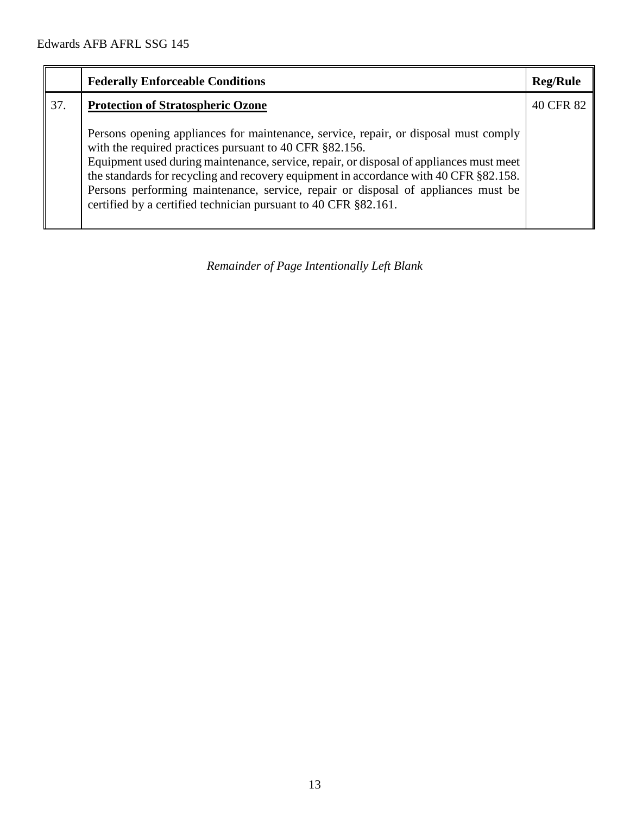|     | <b>Federally Enforceable Conditions</b>                                                                                                                                                                                                                                                                                                                                                                                                                                                     | <b>Reg/Rule</b> |
|-----|---------------------------------------------------------------------------------------------------------------------------------------------------------------------------------------------------------------------------------------------------------------------------------------------------------------------------------------------------------------------------------------------------------------------------------------------------------------------------------------------|-----------------|
| 37. | <b>Protection of Stratospheric Ozone</b>                                                                                                                                                                                                                                                                                                                                                                                                                                                    | 40 CFR 82       |
|     | Persons opening appliances for maintenance, service, repair, or disposal must comply<br>with the required practices pursuant to 40 CFR §82.156.<br>Equipment used during maintenance, service, repair, or disposal of appliances must meet<br>the standards for recycling and recovery equipment in accordance with 40 CFR §82.158.<br>Persons performing maintenance, service, repair or disposal of appliances must be<br>certified by a certified technician pursuant to 40 CFR §82.161. |                 |

*Remainder of Page Intentionally Left Blank*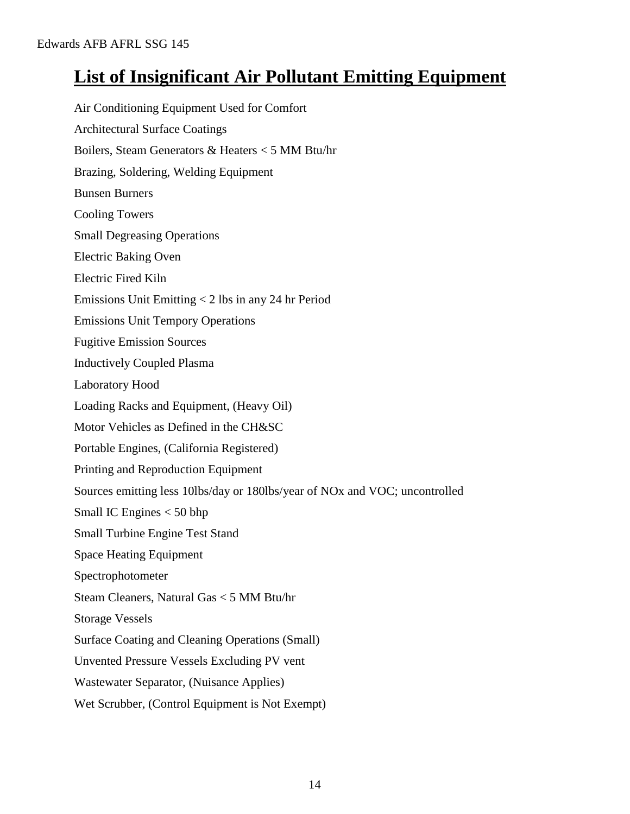# **List of Insignificant Air Pollutant Emitting Equipment**

Air Conditioning Equipment Used for Comfort Architectural Surface Coatings Boilers, Steam Generators & Heaters < 5 MM Btu/hr Brazing, Soldering, Welding Equipment Bunsen Burners Cooling Towers Small Degreasing Operations Electric Baking Oven Electric Fired Kiln Emissions Unit Emitting < 2 lbs in any 24 hr Period Emissions Unit Tempory Operations Fugitive Emission Sources Inductively Coupled Plasma Laboratory Hood Loading Racks and Equipment, (Heavy Oil) Motor Vehicles as Defined in the CH&SC Portable Engines, (California Registered) Printing and Reproduction Equipment Sources emitting less 10lbs/day or 180lbs/year of NOx and VOC; uncontrolled Small IC Engines < 50 bhp Small Turbine Engine Test Stand Space Heating Equipment Spectrophotometer Steam Cleaners, Natural Gas < 5 MM Btu/hr Storage Vessels Surface Coating and Cleaning Operations (Small) Unvented Pressure Vessels Excluding PV vent Wastewater Separator, (Nuisance Applies) Wet Scrubber, (Control Equipment is Not Exempt)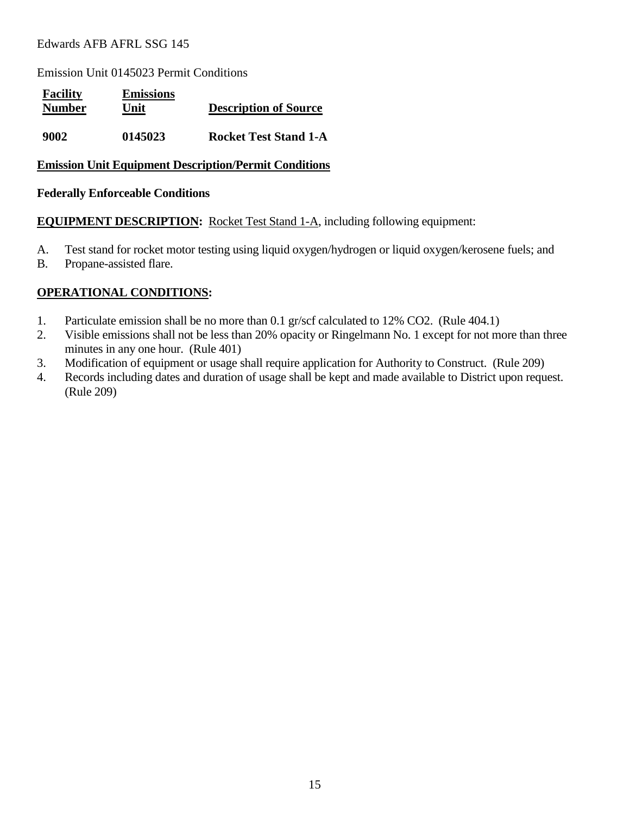Emission Unit 0145023 Permit Conditions

| <b>Facility</b><br><b>Number</b> | <b>Emissions</b><br>Unit | <b>Description of Source</b> |
|----------------------------------|--------------------------|------------------------------|
| 9002                             | 0145023                  | <b>Rocket Test Stand 1-A</b> |

#### **Emission Unit Equipment Description/Permit Conditions**

#### **Federally Enforceable Conditions**

**EQUIPMENT DESCRIPTION:** Rocket Test Stand 1-A, including following equipment:

- A. Test stand for rocket motor testing using liquid oxygen/hydrogen or liquid oxygen/kerosene fuels; and
- B. Propane-assisted flare.

- 1. Particulate emission shall be no more than 0.1 gr/scf calculated to 12% CO2. (Rule 404.1)
- 2. Visible emissions shall not be less than 20% opacity or Ringelmann No. 1 except for not more than three minutes in any one hour. (Rule 401)
- 3. Modification of equipment or usage shall require application for Authority to Construct. (Rule 209)
- 4. Records including dates and duration of usage shall be kept and made available to District upon request. (Rule 209)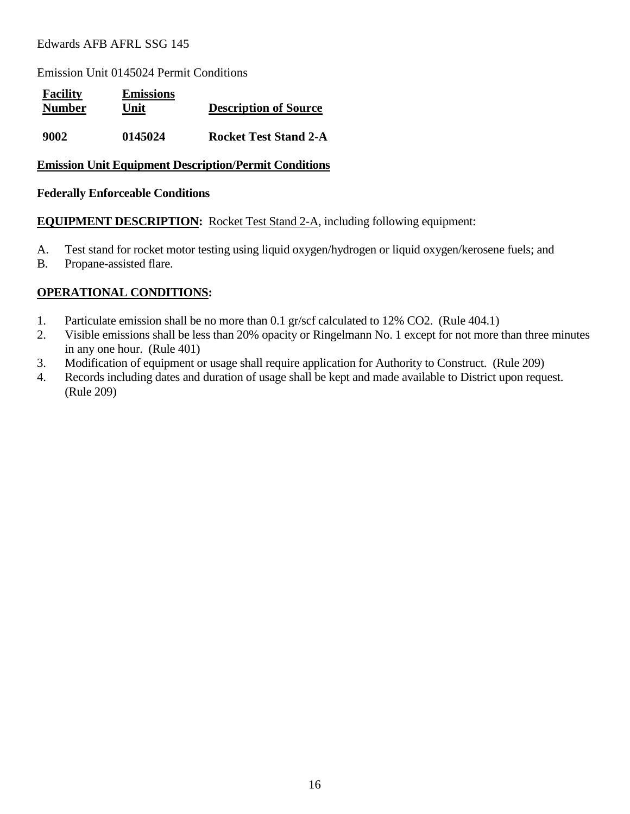Emission Unit 0145024 Permit Conditions

| <b>Facility</b><br><b>Number</b> | <b>Emissions</b><br>Unit | <b>Description of Source</b> |
|----------------------------------|--------------------------|------------------------------|
| 9002                             | 0145024                  | <b>Rocket Test Stand 2-A</b> |

#### **Emission Unit Equipment Description/Permit Conditions**

#### **Federally Enforceable Conditions**

**EQUIPMENT DESCRIPTION:** Rocket Test Stand 2-A, including following equipment:

- A. Test stand for rocket motor testing using liquid oxygen/hydrogen or liquid oxygen/kerosene fuels; and
- B. Propane-assisted flare.

- 1. Particulate emission shall be no more than 0.1 gr/scf calculated to 12% CO2. (Rule 404.1)
- 2. Visible emissions shall be less than 20% opacity or Ringelmann No. 1 except for not more than three minutes in any one hour. (Rule 401)
- 3. Modification of equipment or usage shall require application for Authority to Construct. (Rule 209)
- 4. Records including dates and duration of usage shall be kept and made available to District upon request. (Rule 209)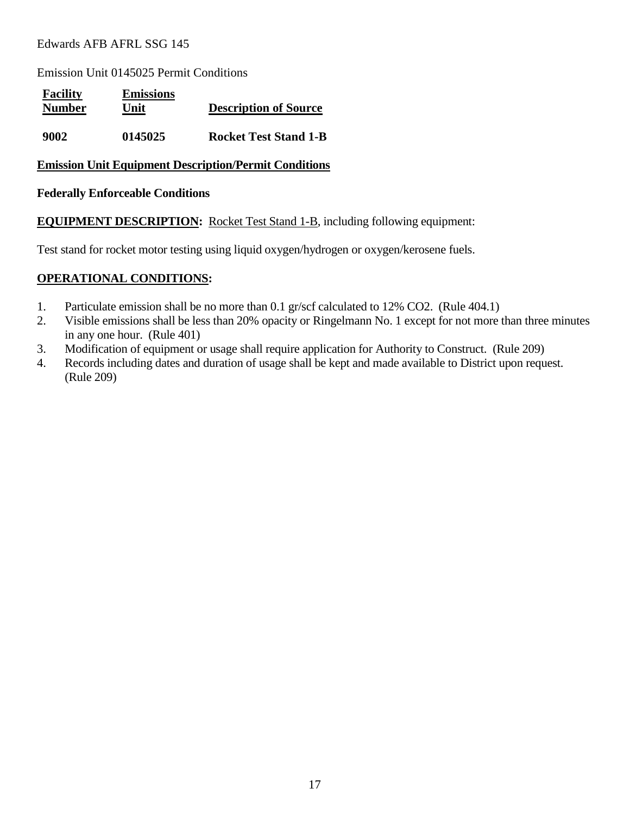Emission Unit 0145025 Permit Conditions

| <b>Facility</b><br><b>Number</b> | <b>Emissions</b><br>Unit | <b>Description of Source</b> |
|----------------------------------|--------------------------|------------------------------|
| 9002                             | 0145025                  | <b>Rocket Test Stand 1-B</b> |

#### **Emission Unit Equipment Description/Permit Conditions**

#### **Federally Enforceable Conditions**

**EQUIPMENT DESCRIPTION:** Rocket Test Stand 1-B, including following equipment:

Test stand for rocket motor testing using liquid oxygen/hydrogen or oxygen/kerosene fuels.

- 1. Particulate emission shall be no more than 0.1 gr/scf calculated to 12% CO2. (Rule 404.1)
- 2. Visible emissions shall be less than 20% opacity or Ringelmann No. 1 except for not more than three minutes in any one hour. (Rule 401)
- 3. Modification of equipment or usage shall require application for Authority to Construct. (Rule 209)
- 4. Records including dates and duration of usage shall be kept and made available to District upon request. (Rule 209)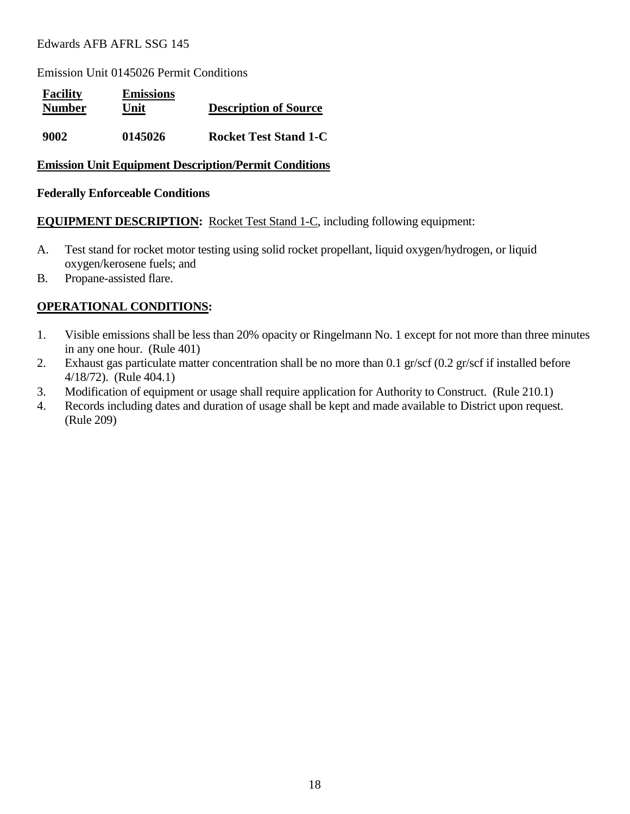Emission Unit 0145026 Permit Conditions

| <b>Facility</b><br><b>Number</b> | <b>Emissions</b><br>Unit | <b>Description of Source</b> |
|----------------------------------|--------------------------|------------------------------|
| 9002                             | 0145026                  | <b>Rocket Test Stand 1-C</b> |

#### **Emission Unit Equipment Description/Permit Conditions**

#### **Federally Enforceable Conditions**

**EQUIPMENT DESCRIPTION:** Rocket Test Stand 1-C, including following equipment:

- A. Test stand for rocket motor testing using solid rocket propellant, liquid oxygen/hydrogen, or liquid oxygen/kerosene fuels; and
- B. Propane-assisted flare.

- 1. Visible emissions shall be less than 20% opacity or Ringelmann No. 1 except for not more than three minutes in any one hour. (Rule 401)
- 2. Exhaust gas particulate matter concentration shall be no more than 0.1 gr/scf (0.2 gr/scf if installed before 4/18/72). (Rule 404.1)
- 3. Modification of equipment or usage shall require application for Authority to Construct. (Rule 210.1)
- 4. Records including dates and duration of usage shall be kept and made available to District upon request. (Rule 209)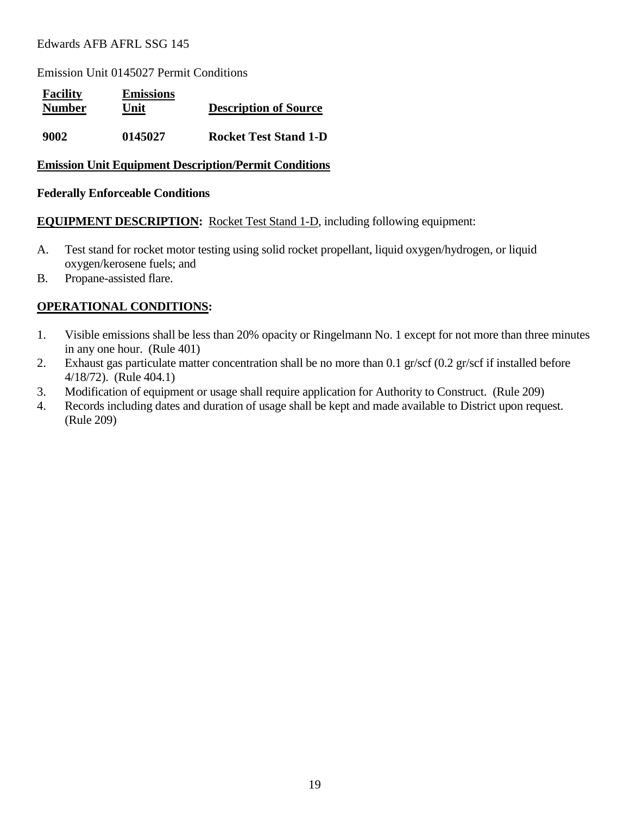Emission Unit 0145027 Permit Conditions

| <b>Facility</b><br><b>Number</b> | <b>Emissions</b><br>Unit | <b>Description of Source</b> |
|----------------------------------|--------------------------|------------------------------|
| 9002                             | 0145027                  | <b>Rocket Test Stand 1-D</b> |

#### **Emission Unit Equipment Description/Permit Conditions**

#### **Federally Enforceable Conditions**

**EQUIPMENT DESCRIPTION:** Rocket Test Stand 1-D, including following equipment:

- A. Test stand for rocket motor testing using solid rocket propellant, liquid oxygen/hydrogen, or liquid oxygen/kerosene fuels; and
- B. Propane-assisted flare.

- 1. Visible emissions shall be less than 20% opacity or Ringelmann No. 1 except for not more than three minutes in any one hour. (Rule 401)
- 2. Exhaust gas particulate matter concentration shall be no more than 0.1 gr/scf (0.2 gr/scf if installed before 4/18/72). (Rule 404.1)
- 3. Modification of equipment or usage shall require application for Authority to Construct. (Rule 209)
- 4. Records including dates and duration of usage shall be kept and made available to District upon request. (Rule 209)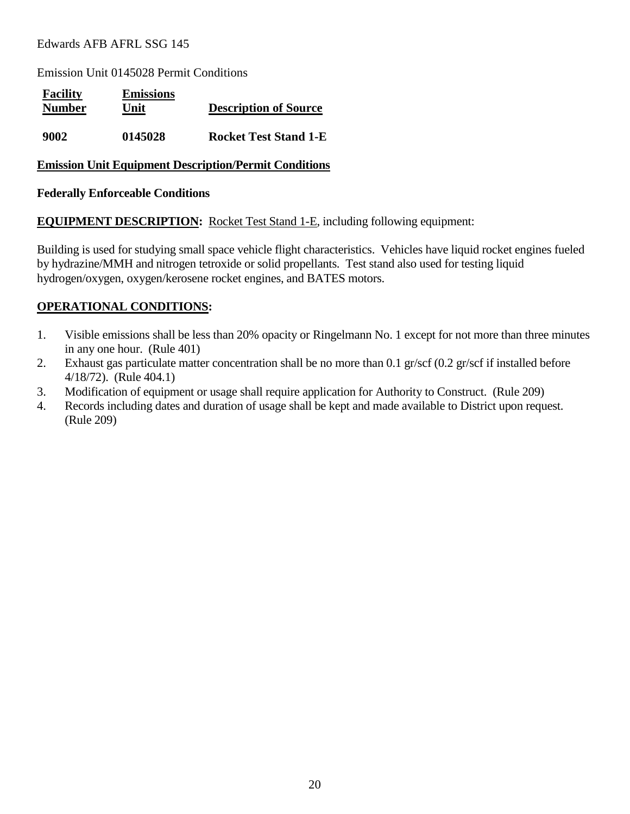Emission Unit 0145028 Permit Conditions

| <b>Facility</b><br><b>Number</b> | <b>Emissions</b><br>Unit | <b>Description of Source</b> |
|----------------------------------|--------------------------|------------------------------|
| 9002                             | 0145028                  | <b>Rocket Test Stand 1-E</b> |

#### **Emission Unit Equipment Description/Permit Conditions**

#### **Federally Enforceable Conditions**

**EQUIPMENT DESCRIPTION:** Rocket Test Stand 1-E, including following equipment:

Building is used for studying small space vehicle flight characteristics. Vehicles have liquid rocket engines fueled by hydrazine/MMH and nitrogen tetroxide or solid propellants. Test stand also used for testing liquid hydrogen/oxygen, oxygen/kerosene rocket engines, and BATES motors.

- 1. Visible emissions shall be less than 20% opacity or Ringelmann No. 1 except for not more than three minutes in any one hour. (Rule 401)
- 2. Exhaust gas particulate matter concentration shall be no more than 0.1 gr/scf (0.2 gr/scf if installed before 4/18/72). (Rule 404.1)
- 3. Modification of equipment or usage shall require application for Authority to Construct. (Rule 209)
- 4. Records including dates and duration of usage shall be kept and made available to District upon request. (Rule 209)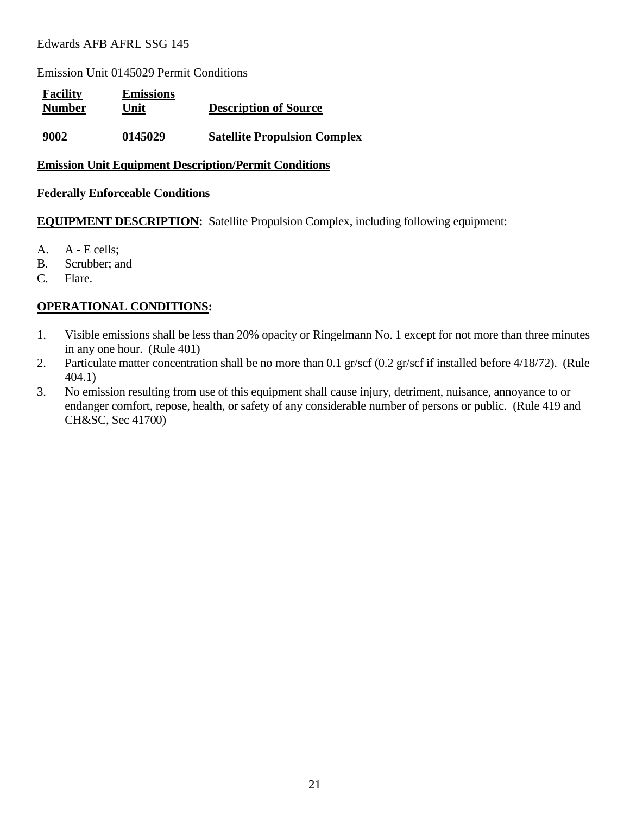Emission Unit 0145029 Permit Conditions

| <b>Facility</b><br><b>Number</b> | <b>Emissions</b><br>Unit | <b>Description of Source</b>        |
|----------------------------------|--------------------------|-------------------------------------|
| 9002                             | 0145029                  | <b>Satellite Propulsion Complex</b> |

#### **Emission Unit Equipment Description/Permit Conditions**

#### **Federally Enforceable Conditions**

**EQUIPMENT DESCRIPTION:** Satellite Propulsion Complex, including following equipment:

- A. A E cells;
- B. Scrubber; and
- C. Flare.

- 1. Visible emissions shall be less than 20% opacity or Ringelmann No. 1 except for not more than three minutes in any one hour. (Rule 401)
- 2. Particulate matter concentration shall be no more than 0.1 gr/scf (0.2 gr/scf if installed before 4/18/72). (Rule 404.1)
- 3. No emission resulting from use of this equipment shall cause injury, detriment, nuisance, annoyance to or endanger comfort, repose, health, or safety of any considerable number of persons or public. (Rule 419 and CH&SC, Sec 41700)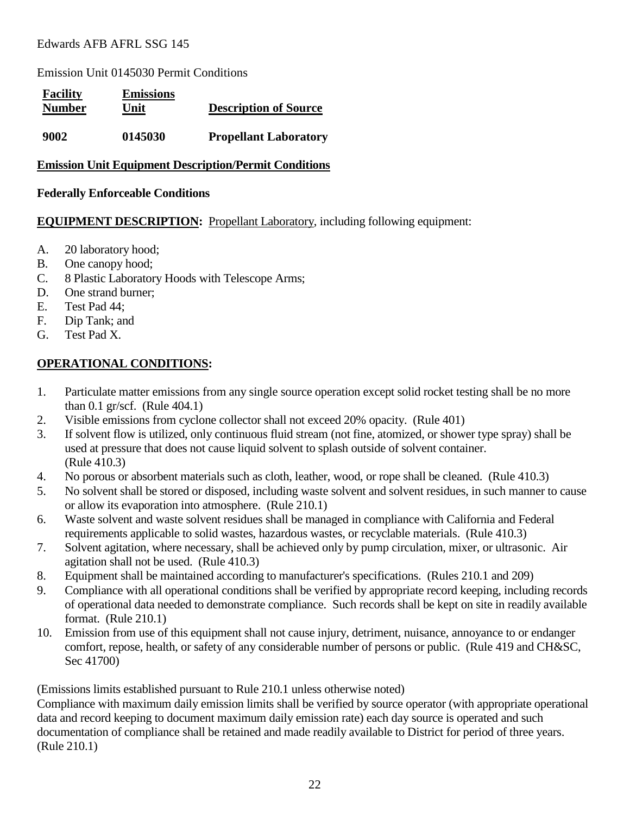Emission Unit 0145030 Permit Conditions

| <b>Facility</b><br><b>Number</b> | <b>Emissions</b><br>Unit | <b>Description of Source</b> |
|----------------------------------|--------------------------|------------------------------|
| 9002                             | 0145030                  | <b>Propellant Laboratory</b> |

# **Emission Unit Equipment Description/Permit Conditions**

#### **Federally Enforceable Conditions**

#### **EQUIPMENT DESCRIPTION:** Propellant Laboratory, including following equipment:

- A. 20 laboratory hood;
- B. One canopy hood;
- C. 8 Plastic Laboratory Hoods with Telescope Arms;
- D. One strand burner;
- E. Test Pad 44;
- F. Dip Tank; and
- G. Test Pad X.

# **OPERATIONAL CONDITIONS:**

- 1. Particulate matter emissions from any single source operation except solid rocket testing shall be no more than 0.1 gr/scf. (Rule 404.1)
- 2. Visible emissions from cyclone collector shall not exceed 20% opacity. (Rule 401)
- 3. If solvent flow is utilized, only continuous fluid stream (not fine, atomized, or shower type spray) shall be used at pressure that does not cause liquid solvent to splash outside of solvent container. (Rule 410.3)
- 4. No porous or absorbent materials such as cloth, leather, wood, or rope shall be cleaned. (Rule 410.3)
- 5. No solvent shall be stored or disposed, including waste solvent and solvent residues, in such manner to cause or allow its evaporation into atmosphere. (Rule 210.1)
- 6. Waste solvent and waste solvent residues shall be managed in compliance with California and Federal requirements applicable to solid wastes, hazardous wastes, or recyclable materials. (Rule 410.3)
- 7. Solvent agitation, where necessary, shall be achieved only by pump circulation, mixer, or ultrasonic. Air agitation shall not be used. (Rule 410.3)
- 8. Equipment shall be maintained according to manufacturer's specifications. (Rules 210.1 and 209)
- 9. Compliance with all operational conditions shall be verified by appropriate record keeping, including records of operational data needed to demonstrate compliance. Such records shall be kept on site in readily available format. (Rule 210.1)
- 10. Emission from use of this equipment shall not cause injury, detriment, nuisance, annoyance to or endanger comfort, repose, health, or safety of any considerable number of persons or public. (Rule 419 and CH&SC, Sec 41700)

(Emissions limits established pursuant to Rule 210.1 unless otherwise noted)

Compliance with maximum daily emission limits shall be verified by source operator (with appropriate operational data and record keeping to document maximum daily emission rate) each day source is operated and such documentation of compliance shall be retained and made readily available to District for period of three years. (Rule 210.1)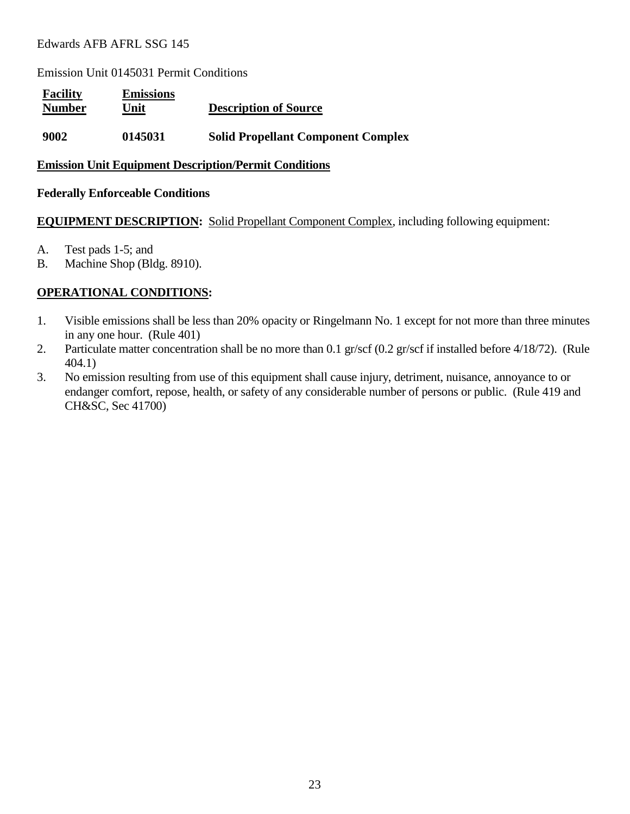Emission Unit 0145031 Permit Conditions

| <b>Facility</b><br><b>Number</b> | <b>Emissions</b><br>Unit | <b>Description of Source</b>              |
|----------------------------------|--------------------------|-------------------------------------------|
| 9002                             | 0145031                  | <b>Solid Propellant Component Complex</b> |

#### **Emission Unit Equipment Description/Permit Conditions**

#### **Federally Enforceable Conditions**

#### **EQUIPMENT DESCRIPTION:** Solid Propellant Component Complex, including following equipment:

- A. Test pads 1-5; and
- B. Machine Shop (Bldg. 8910).

- 1. Visible emissions shall be less than 20% opacity or Ringelmann No. 1 except for not more than three minutes in any one hour. (Rule 401)
- 2. Particulate matter concentration shall be no more than 0.1 gr/scf (0.2 gr/scf if installed before 4/18/72). (Rule 404.1)
- 3. No emission resulting from use of this equipment shall cause injury, detriment, nuisance, annoyance to or endanger comfort, repose, health, or safety of any considerable number of persons or public. (Rule 419 and CH&SC, Sec 41700)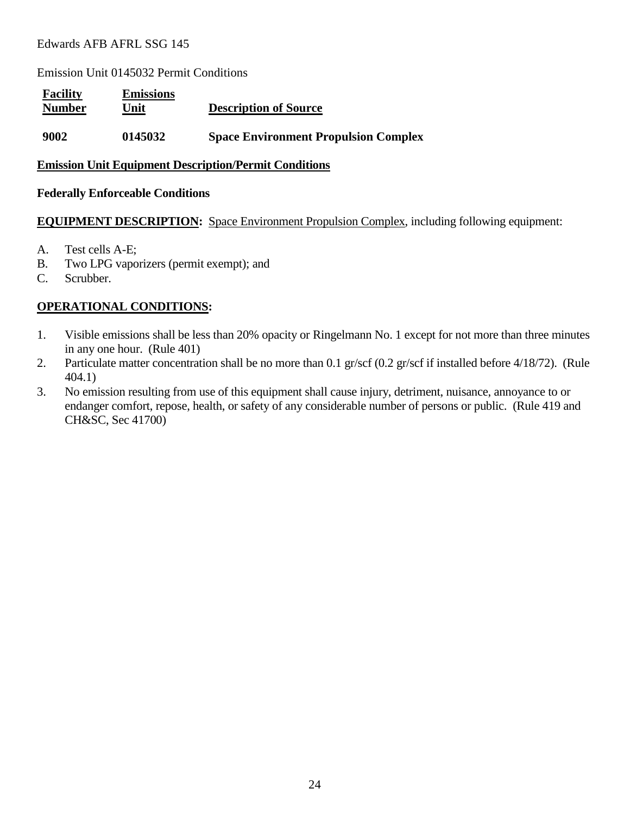Emission Unit 0145032 Permit Conditions

| <b>Facility</b><br><b>Number</b> | <b>Emissions</b><br>Unit | <b>Description of Source</b>                |  |
|----------------------------------|--------------------------|---------------------------------------------|--|
| 9002                             | 0145032                  | <b>Space Environment Propulsion Complex</b> |  |

#### **Emission Unit Equipment Description/Permit Conditions**

#### **Federally Enforceable Conditions**

#### **EQUIPMENT DESCRIPTION:** Space Environment Propulsion Complex, including following equipment:

- A. Test cells A-E;
- B. Two LPG vaporizers (permit exempt); and
- C. Scrubber.

- 1. Visible emissions shall be less than 20% opacity or Ringelmann No. 1 except for not more than three minutes in any one hour. (Rule 401)
- 2. Particulate matter concentration shall be no more than 0.1 gr/scf (0.2 gr/scf if installed before 4/18/72). (Rule 404.1)
- 3. No emission resulting from use of this equipment shall cause injury, detriment, nuisance, annoyance to or endanger comfort, repose, health, or safety of any considerable number of persons or public. (Rule 419 and CH&SC, Sec 41700)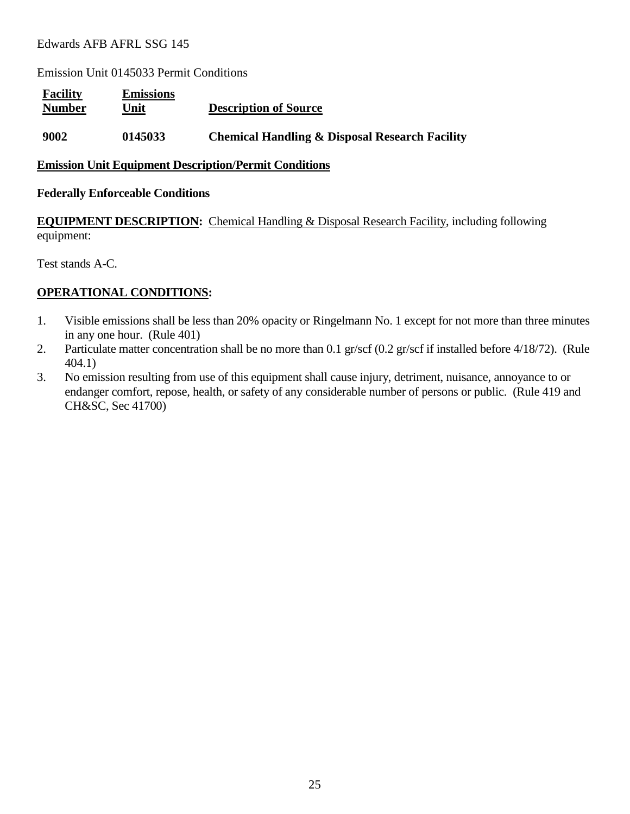Emission Unit 0145033 Permit Conditions

| <b>Facility</b><br><b>Number</b> | <b>Emissions</b><br>Unit | <b>Description of Source</b>                              |
|----------------------------------|--------------------------|-----------------------------------------------------------|
| 9002                             | 0145033                  | <b>Chemical Handling &amp; Disposal Research Facility</b> |

#### **Emission Unit Equipment Description/Permit Conditions**

#### **Federally Enforceable Conditions**

**EQUIPMENT DESCRIPTION:** Chemical Handling & Disposal Research Facility, including following equipment:

Test stands A-C.

- 1. Visible emissions shall be less than 20% opacity or Ringelmann No. 1 except for not more than three minutes in any one hour. (Rule 401)
- 2. Particulate matter concentration shall be no more than 0.1 gr/scf (0.2 gr/scf if installed before 4/18/72). (Rule 404.1)
- 3. No emission resulting from use of this equipment shall cause injury, detriment, nuisance, annoyance to or endanger comfort, repose, health, or safety of any considerable number of persons or public. (Rule 419 and CH&SC, Sec 41700)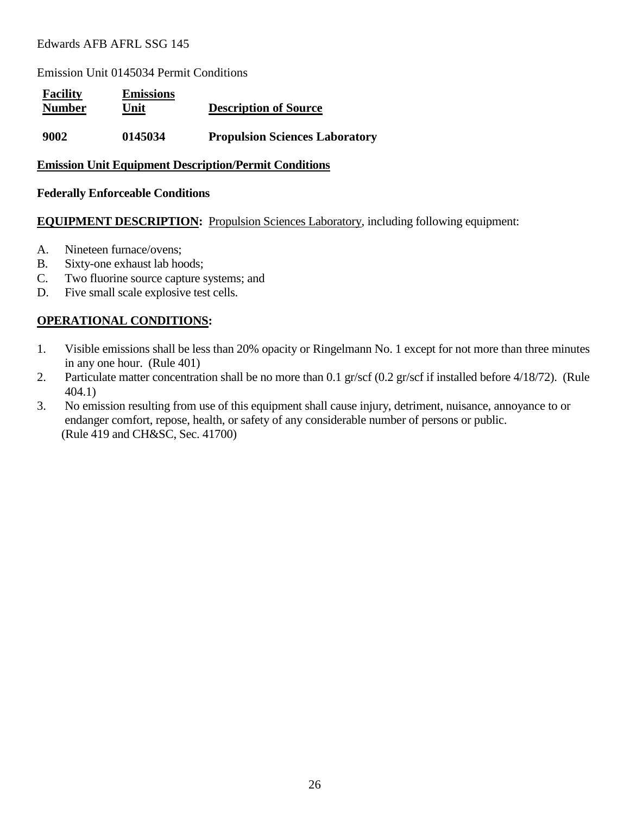Emission Unit 0145034 Permit Conditions

| <b>Facility</b><br><b>Number</b> | <b>Emissions</b><br>Unit | <b>Description of Source</b>          |
|----------------------------------|--------------------------|---------------------------------------|
| 9002                             | 0145034                  | <b>Propulsion Sciences Laboratory</b> |

#### **Emission Unit Equipment Description/Permit Conditions**

#### **Federally Enforceable Conditions**

**EQUIPMENT DESCRIPTION:** Propulsion Sciences Laboratory, including following equipment:

- A. Nineteen furnace/ovens;
- B. Sixty-one exhaust lab hoods;
- C. Two fluorine source capture systems; and
- D. Five small scale explosive test cells.

- 1. Visible emissions shall be less than 20% opacity or Ringelmann No. 1 except for not more than three minutes in any one hour. (Rule 401)
- 2. Particulate matter concentration shall be no more than 0.1 gr/scf (0.2 gr/scf if installed before 4/18/72). (Rule 404.1)
- 3. No emission resulting from use of this equipment shall cause injury, detriment, nuisance, annoyance to or endanger comfort, repose, health, or safety of any considerable number of persons or public. (Rule 419 and CH&SC, Sec. 41700)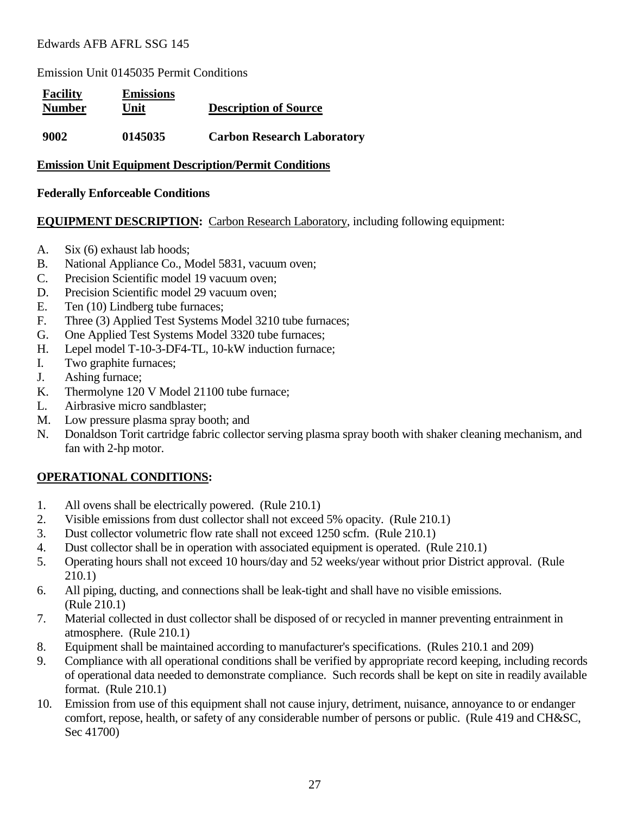Emission Unit 0145035 Permit Conditions

| <b>Facility</b><br><b>Number</b> | <b>Emissions</b><br>Unit | <b>Description of Source</b>      |
|----------------------------------|--------------------------|-----------------------------------|
| 9002                             | 0145035                  | <b>Carbon Research Laboratory</b> |

#### **Emission Unit Equipment Description/Permit Conditions**

#### **Federally Enforceable Conditions**

#### **EQUIPMENT DESCRIPTION:** Carbon Research Laboratory, including following equipment:

- A. Six (6) exhaust lab hoods;
- B. National Appliance Co., Model 5831, vacuum oven;
- C. Precision Scientific model 19 vacuum oven;
- D. Precision Scientific model 29 vacuum oven:
- E. Ten (10) Lindberg tube furnaces;
- F. Three (3) Applied Test Systems Model 3210 tube furnaces;
- G. One Applied Test Systems Model 3320 tube furnaces;
- H. Lepel model T-10-3-DF4-TL, 10-kW induction furnace;
- I. Two graphite furnaces;
- J. Ashing furnace;
- K. Thermolyne 120 V Model 21100 tube furnace;
- L. Airbrasive micro sandblaster;
- M. Low pressure plasma spray booth; and
- N. Donaldson Torit cartridge fabric collector serving plasma spray booth with shaker cleaning mechanism, and fan with 2-hp motor.

- 1. All ovens shall be electrically powered. (Rule 210.1)
- 2. Visible emissions from dust collector shall not exceed 5% opacity. (Rule 210.1)
- 3. Dust collector volumetric flow rate shall not exceed 1250 scfm. (Rule 210.1)
- 4. Dust collector shall be in operation with associated equipment is operated. (Rule 210.1)
- 5. Operating hours shall not exceed 10 hours/day and 52 weeks/year without prior District approval. (Rule 210.1)
- 6. All piping, ducting, and connections shall be leak-tight and shall have no visible emissions. (Rule 210.1)
- 7. Material collected in dust collector shall be disposed of or recycled in manner preventing entrainment in atmosphere. (Rule 210.1)
- 8. Equipment shall be maintained according to manufacturer's specifications. (Rules 210.1 and 209)
- 9. Compliance with all operational conditions shall be verified by appropriate record keeping, including records of operational data needed to demonstrate compliance. Such records shall be kept on site in readily available format. (Rule 210.1)
- 10. Emission from use of this equipment shall not cause injury, detriment, nuisance, annoyance to or endanger comfort, repose, health, or safety of any considerable number of persons or public. (Rule 419 and CH&SC, Sec 41700)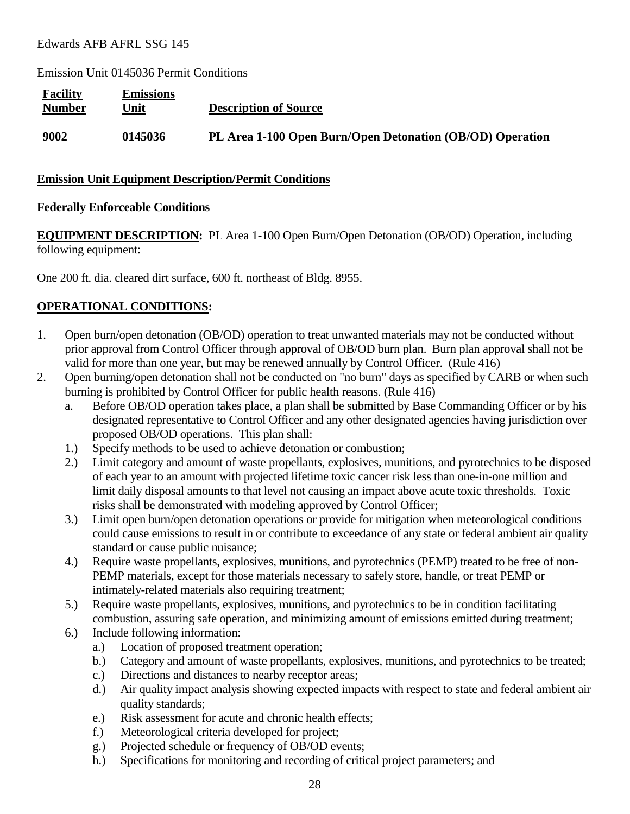Emission Unit 0145036 Permit Conditions

| <b>Facility</b><br><b>Number</b> | <b>Emissions</b><br>Unit | <b>Description of Source</b>                              |
|----------------------------------|--------------------------|-----------------------------------------------------------|
| 9002                             | 0145036                  | PL Area 1-100 Open Burn/Open Detonation (OB/OD) Operation |

#### **Emission Unit Equipment Description/Permit Conditions**

#### **Federally Enforceable Conditions**

# **EQUIPMENT DESCRIPTION:** PL Area 1-100 Open Burn/Open Detonation (OB/OD) Operation, including following equipment:

One 200 ft. dia. cleared dirt surface, 600 ft. northeast of Bldg. 8955.

- 1. Open burn/open detonation (OB/OD) operation to treat unwanted materials may not be conducted without prior approval from Control Officer through approval of OB/OD burn plan. Burn plan approval shall not be valid for more than one year, but may be renewed annually by Control Officer. (Rule 416)
- 2. Open burning/open detonation shall not be conducted on "no burn" days as specified by CARB or when such burning is prohibited by Control Officer for public health reasons. (Rule 416)
	- a. Before OB/OD operation takes place, a plan shall be submitted by Base Commanding Officer or by his designated representative to Control Officer and any other designated agencies having jurisdiction over proposed OB/OD operations. This plan shall:
	- 1.) Specify methods to be used to achieve detonation or combustion;
	- 2.) Limit category and amount of waste propellants, explosives, munitions, and pyrotechnics to be disposed of each year to an amount with projected lifetime toxic cancer risk less than one-in-one million and limit daily disposal amounts to that level not causing an impact above acute toxic thresholds. Toxic risks shall be demonstrated with modeling approved by Control Officer;
	- 3.) Limit open burn/open detonation operations or provide for mitigation when meteorological conditions could cause emissions to result in or contribute to exceedance of any state or federal ambient air quality standard or cause public nuisance;
	- 4.) Require waste propellants, explosives, munitions, and pyrotechnics (PEMP) treated to be free of non-PEMP materials, except for those materials necessary to safely store, handle, or treat PEMP or intimately-related materials also requiring treatment;
	- 5.) Require waste propellants, explosives, munitions, and pyrotechnics to be in condition facilitating combustion, assuring safe operation, and minimizing amount of emissions emitted during treatment;
	- 6.) Include following information:
		- a.) Location of proposed treatment operation;
		- b.) Category and amount of waste propellants, explosives, munitions, and pyrotechnics to be treated;
		- c.) Directions and distances to nearby receptor areas;
		- d.) Air quality impact analysis showing expected impacts with respect to state and federal ambient air quality standards;
		- e.) Risk assessment for acute and chronic health effects;
		- f.) Meteorological criteria developed for project;
		- g.) Projected schedule or frequency of OB/OD events;
		- h.) Specifications for monitoring and recording of critical project parameters; and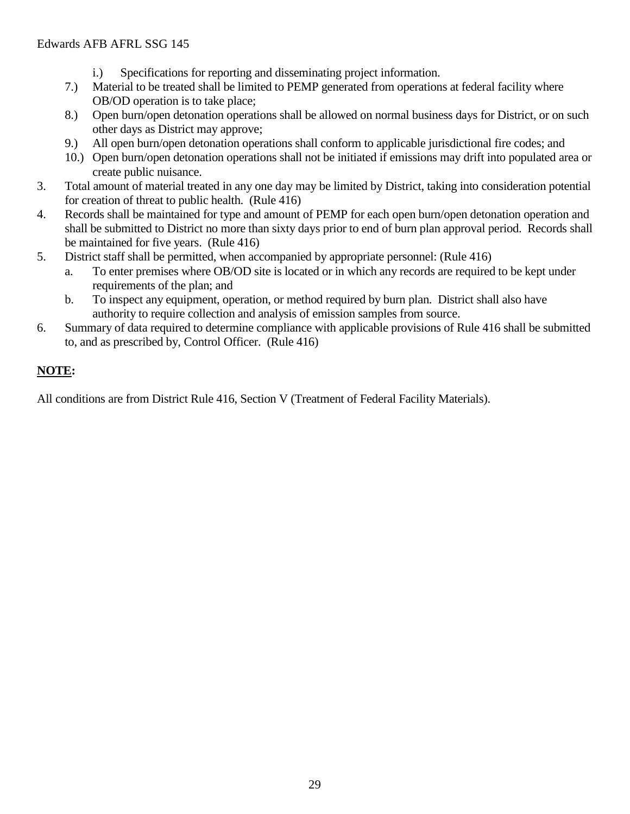- i.) Specifications for reporting and disseminating project information.
- 7.) Material to be treated shall be limited to PEMP generated from operations at federal facility where OB/OD operation is to take place;
- 8.) Open burn/open detonation operations shall be allowed on normal business days for District, or on such other days as District may approve;
- 9.) All open burn/open detonation operations shall conform to applicable jurisdictional fire codes; and
- 10.) Open burn/open detonation operations shall not be initiated if emissions may drift into populated area or create public nuisance.
- 3. Total amount of material treated in any one day may be limited by District, taking into consideration potential for creation of threat to public health. (Rule 416)
- 4. Records shall be maintained for type and amount of PEMP for each open burn/open detonation operation and shall be submitted to District no more than sixty days prior to end of burn plan approval period. Records shall be maintained for five years. (Rule 416)
- 5. District staff shall be permitted, when accompanied by appropriate personnel: (Rule 416)
	- a. To enter premises where OB/OD site is located or in which any records are required to be kept under requirements of the plan; and
	- b. To inspect any equipment, operation, or method required by burn plan. District shall also have authority to require collection and analysis of emission samples from source.
- 6. Summary of data required to determine compliance with applicable provisions of Rule 416 shall be submitted to, and as prescribed by, Control Officer. (Rule 416)

# **NOTE:**

All conditions are from District Rule 416, Section V (Treatment of Federal Facility Materials).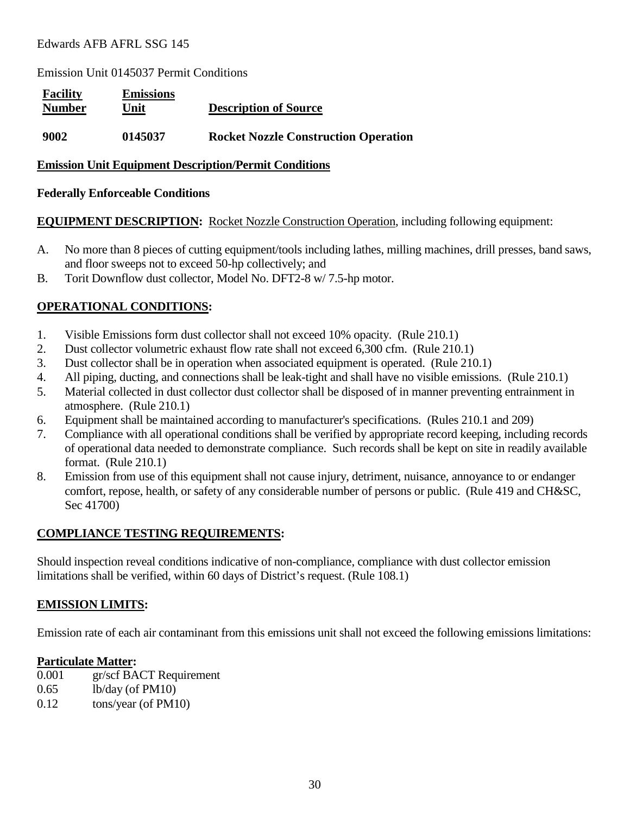Emission Unit 0145037 Permit Conditions

| <b>Facility</b><br><b>Number</b> | <b>Emissions</b><br>Unit | <b>Description of Source</b>                |
|----------------------------------|--------------------------|---------------------------------------------|
| 9002                             | 0145037                  | <b>Rocket Nozzle Construction Operation</b> |

#### **Emission Unit Equipment Description/Permit Conditions**

#### **Federally Enforceable Conditions**

#### **EQUIPMENT DESCRIPTION:** Rocket Nozzle Construction Operation, including following equipment:

- A. No more than 8 pieces of cutting equipment/tools including lathes, milling machines, drill presses, band saws, and floor sweeps not to exceed 50-hp collectively; and
- B. Torit Downflow dust collector, Model No. DFT2-8 w/ 7.5-hp motor.

#### **OPERATIONAL CONDITIONS:**

- 1. Visible Emissions form dust collector shall not exceed 10% opacity. (Rule 210.1)
- 2. Dust collector volumetric exhaust flow rate shall not exceed 6,300 cfm. (Rule 210.1)
- 3. Dust collector shall be in operation when associated equipment is operated. (Rule 210.1)
- 4. All piping, ducting, and connections shall be leak-tight and shall have no visible emissions. (Rule 210.1)
- 5. Material collected in dust collector dust collector shall be disposed of in manner preventing entrainment in atmosphere. (Rule 210.1)
- 6. Equipment shall be maintained according to manufacturer's specifications. (Rules 210.1 and 209)
- 7. Compliance with all operational conditions shall be verified by appropriate record keeping, including records of operational data needed to demonstrate compliance. Such records shall be kept on site in readily available format. (Rule 210.1)
- 8. Emission from use of this equipment shall not cause injury, detriment, nuisance, annoyance to or endanger comfort, repose, health, or safety of any considerable number of persons or public. (Rule 419 and CH&SC, Sec 41700)

#### **COMPLIANCE TESTING REQUIREMENTS:**

Should inspection reveal conditions indicative of non-compliance, compliance with dust collector emission limitations shall be verified, within 60 days of District's request. (Rule 108.1)

#### **EMISSION LIMITS:**

Emission rate of each air contaminant from this emissions unit shall not exceed the following emissions limitations:

#### **Particulate Matter:**

- 0.001 gr/scf BACT Requirement
- 0.65 lb/day (of PM10)
- 0.12 tons/year (of PM10)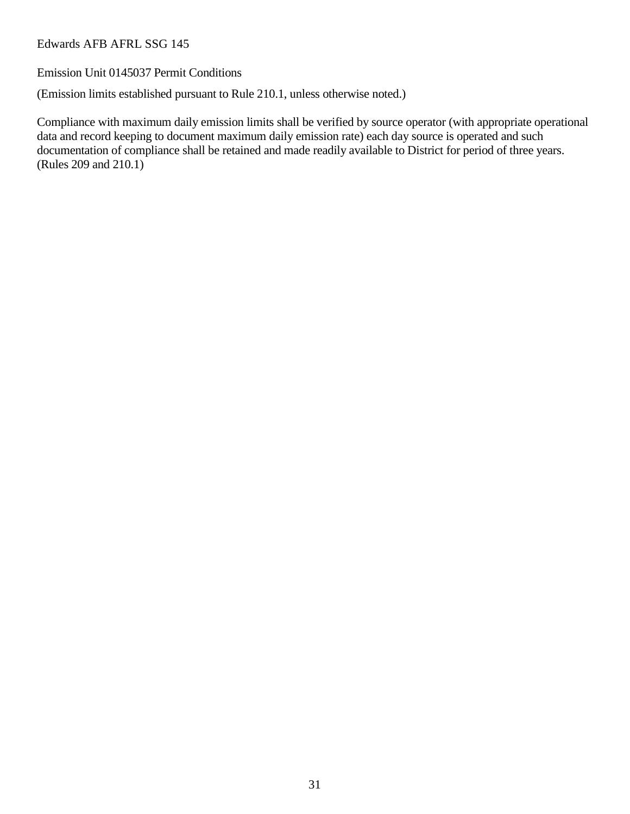Emission Unit 0145037 Permit Conditions

(Emission limits established pursuant to Rule 210.1, unless otherwise noted.)

Compliance with maximum daily emission limits shall be verified by source operator (with appropriate operational data and record keeping to document maximum daily emission rate) each day source is operated and such documentation of compliance shall be retained and made readily available to District for period of three years. (Rules 209 and 210.1)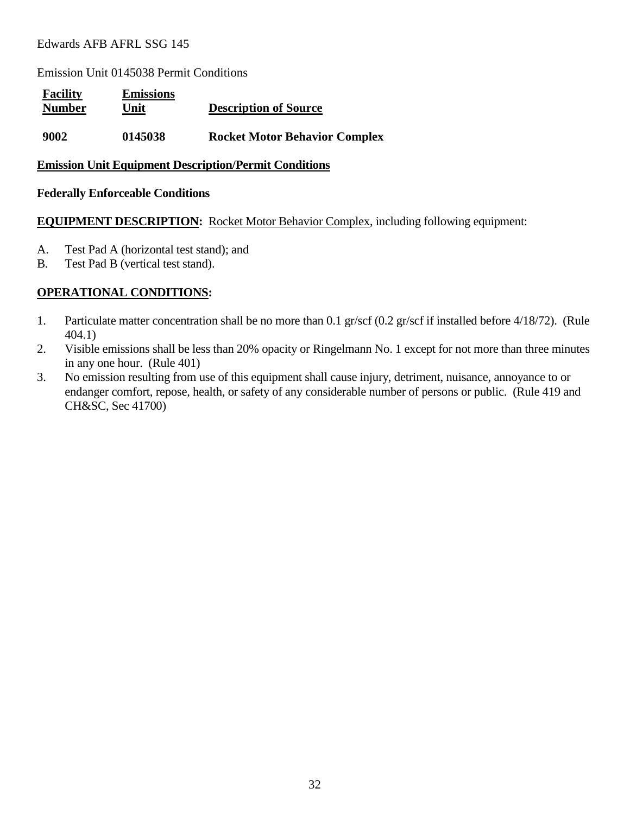Emission Unit 0145038 Permit Conditions

| <b>Facility</b><br><b>Number</b> | <b>Emissions</b><br>Unit | <b>Description of Source</b>         |
|----------------------------------|--------------------------|--------------------------------------|
| 9002                             | 0145038                  | <b>Rocket Motor Behavior Complex</b> |

#### **Emission Unit Equipment Description/Permit Conditions**

#### **Federally Enforceable Conditions**

#### **EQUIPMENT DESCRIPTION:** Rocket Motor Behavior Complex, including following equipment:

- A. Test Pad A (horizontal test stand); and
- B. Test Pad B (vertical test stand).

- 1. Particulate matter concentration shall be no more than 0.1 gr/scf (0.2 gr/scf if installed before 4/18/72). (Rule 404.1)
- 2. Visible emissions shall be less than 20% opacity or Ringelmann No. 1 except for not more than three minutes in any one hour. (Rule 401)
- 3. No emission resulting from use of this equipment shall cause injury, detriment, nuisance, annoyance to or endanger comfort, repose, health, or safety of any considerable number of persons or public. (Rule 419 and CH&SC, Sec 41700)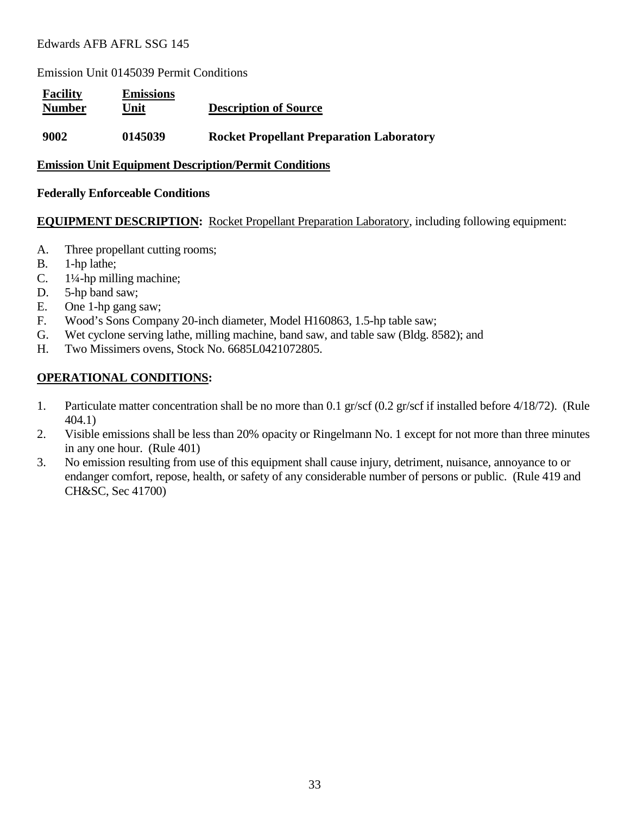Emission Unit 0145039 Permit Conditions

| <b>Facility</b><br><b>Number</b> | <b>Emissions</b><br>Unit | <b>Description of Source</b>                    |
|----------------------------------|--------------------------|-------------------------------------------------|
| 9002                             | 0145039                  | <b>Rocket Propellant Preparation Laboratory</b> |

#### **Emission Unit Equipment Description/Permit Conditions**

#### **Federally Enforceable Conditions**

#### **EQUIPMENT DESCRIPTION:** Rocket Propellant Preparation Laboratory, including following equipment:

- A. Three propellant cutting rooms;
- B. 1-hp lathe;
- C. 1¼-hp milling machine;
- D. 5-hp band saw;
- E. One 1-hp gang saw;
- F. Wood's Sons Company 20-inch diameter, Model H160863, 1.5-hp table saw;
- G. Wet cyclone serving lathe, milling machine, band saw, and table saw (Bldg. 8582); and
- H. Two Missimers ovens, Stock No. 6685L0421072805.

- 1. Particulate matter concentration shall be no more than 0.1 gr/scf (0.2 gr/scf if installed before 4/18/72). (Rule 404.1)
- 2. Visible emissions shall be less than 20% opacity or Ringelmann No. 1 except for not more than three minutes in any one hour. (Rule 401)
- 3. No emission resulting from use of this equipment shall cause injury, detriment, nuisance, annoyance to or endanger comfort, repose, health, or safety of any considerable number of persons or public. (Rule 419 and CH&SC, Sec 41700)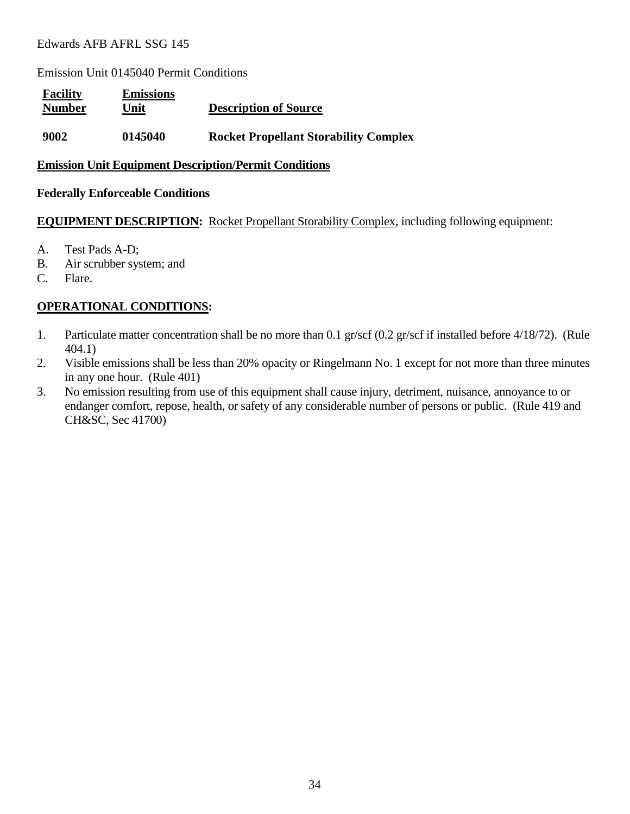Emission Unit 0145040 Permit Conditions

| <b>Facility</b><br><b>Number</b> | <b>Emissions</b><br>Unit | <b>Description of Source</b>                 |
|----------------------------------|--------------------------|----------------------------------------------|
| 9002                             | 0145040                  | <b>Rocket Propellant Storability Complex</b> |

#### **Emission Unit Equipment Description/Permit Conditions**

#### **Federally Enforceable Conditions**

#### **EQUIPMENT DESCRIPTION:** Rocket Propellant Storability Complex, including following equipment:

- A. Test Pads A-D;
- B. Air scrubber system; and
- C. Flare.

- 1. Particulate matter concentration shall be no more than 0.1 gr/scf (0.2 gr/scf if installed before 4/18/72). (Rule 404.1)
- 2. Visible emissions shall be less than 20% opacity or Ringelmann No. 1 except for not more than three minutes in any one hour. (Rule 401)
- 3. No emission resulting from use of this equipment shall cause injury, detriment, nuisance, annoyance to or endanger comfort, repose, health, or safety of any considerable number of persons or public. (Rule 419 and CH&SC, Sec 41700)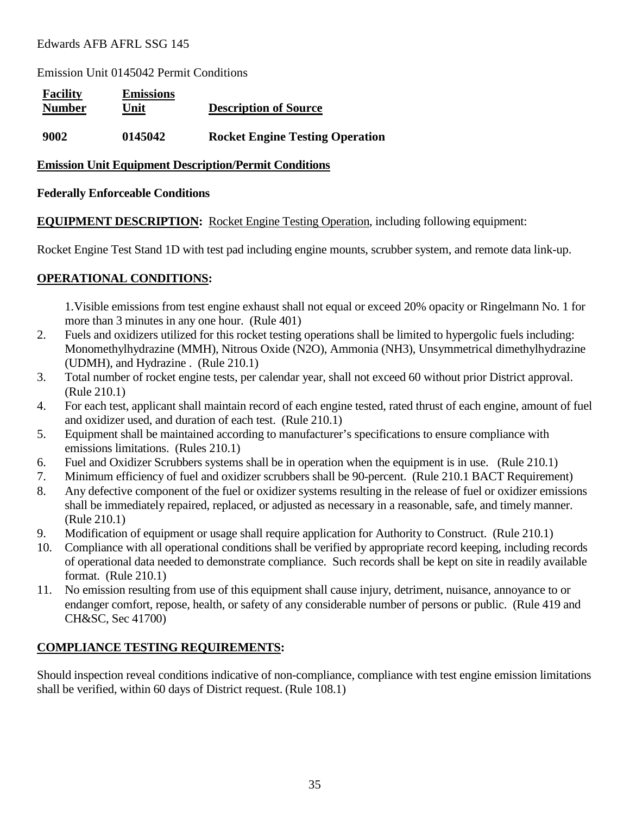Emission Unit 0145042 Permit Conditions

| <b>Facility</b><br><b>Number</b> | <b>Emissions</b><br>Unit | <b>Description of Source</b>           |
|----------------------------------|--------------------------|----------------------------------------|
| 9002                             | 0145042                  | <b>Rocket Engine Testing Operation</b> |

#### **Emission Unit Equipment Description/Permit Conditions**

#### **Federally Enforceable Conditions**

**EQUIPMENT DESCRIPTION:** Rocket Engine Testing Operation, including following equipment:

Rocket Engine Test Stand 1D with test pad including engine mounts, scrubber system, and remote data link-up.

# **OPERATIONAL CONDITIONS:**

1.Visible emissions from test engine exhaust shall not equal or exceed 20% opacity or Ringelmann No. 1 for more than 3 minutes in any one hour. (Rule 401)

- 2. Fuels and oxidizers utilized for this rocket testing operations shall be limited to hypergolic fuels including: Monomethylhydrazine (MMH), Nitrous Oxide (N2O), Ammonia (NH3), Unsymmetrical dimethylhydrazine (UDMH), and Hydrazine . (Rule 210.1)
- 3. Total number of rocket engine tests, per calendar year, shall not exceed 60 without prior District approval. (Rule 210.1)
- 4. For each test, applicant shall maintain record of each engine tested, rated thrust of each engine, amount of fuel and oxidizer used, and duration of each test. (Rule 210.1)
- 5. Equipment shall be maintained according to manufacturer's specifications to ensure compliance with emissions limitations. (Rules 210.1)
- 6. Fuel and Oxidizer Scrubbers systems shall be in operation when the equipment is in use. (Rule 210.1)
- 7. Minimum efficiency of fuel and oxidizer scrubbers shall be 90-percent. (Rule 210.1 BACT Requirement)
- 8. Any defective component of the fuel or oxidizer systems resulting in the release of fuel or oxidizer emissions shall be immediately repaired, replaced, or adjusted as necessary in a reasonable, safe, and timely manner. (Rule 210.1)
- 9. Modification of equipment or usage shall require application for Authority to Construct. (Rule 210.1)
- 10. Compliance with all operational conditions shall be verified by appropriate record keeping, including records of operational data needed to demonstrate compliance. Such records shall be kept on site in readily available format. (Rule 210.1)
- 11. No emission resulting from use of this equipment shall cause injury, detriment, nuisance, annoyance to or endanger comfort, repose, health, or safety of any considerable number of persons or public. (Rule 419 and CH&SC, Sec 41700)

# **COMPLIANCE TESTING REQUIREMENTS:**

Should inspection reveal conditions indicative of non-compliance, compliance with test engine emission limitations shall be verified, within 60 days of District request. (Rule 108.1)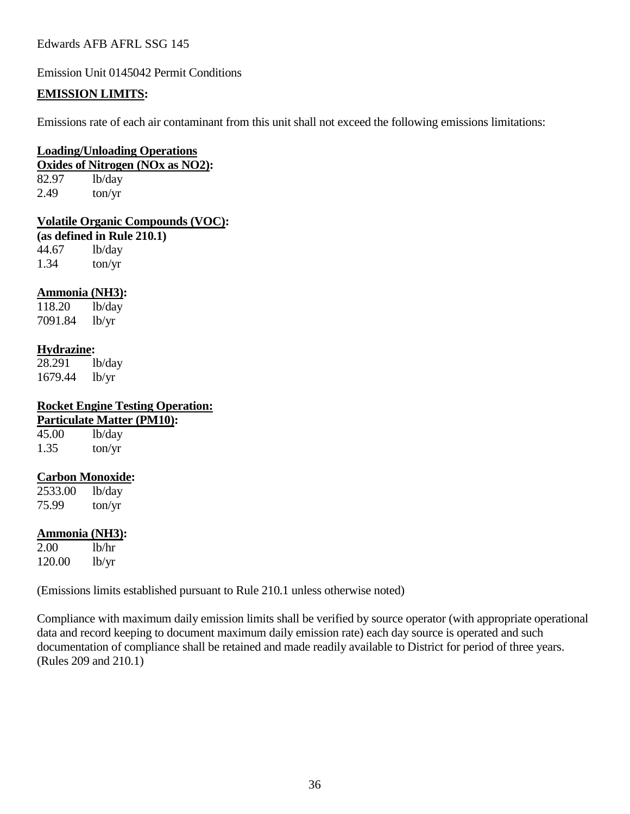Emission Unit 0145042 Permit Conditions

#### **EMISSION LIMITS:**

Emissions rate of each air contaminant from this unit shall not exceed the following emissions limitations:

#### **Loading/Unloading Operations**

**Oxides of Nitrogen (NOx as NO2):** 82.97 lb/day

 $2.49$  ton/yr

#### **Volatile Organic Compounds (VOC):**

**(as defined in Rule 210.1)**

44.67 lb/day 1.34 ton/yr

#### **Ammonia (NH3):**

118.20 lb/day 7091.84 lb/yr

#### **Hydrazine:**

28.291 lb/day 1679.44 lb/yr

#### **Rocket Engine Testing Operation: A**<sub>10</sub>):

|       | <b>Particulate Matter (PM</b> |
|-------|-------------------------------|
| 45.00 | lb/day                        |
| 1.35  | ton/yr                        |

#### **Carbon Monoxide:**

2533.00 lb/day 75.99 ton/yr

#### **Ammonia (NH3):**

2.00 lb/hr 120.00 lb/yr

(Emissions limits established pursuant to Rule 210.1 unless otherwise noted)

Compliance with maximum daily emission limits shall be verified by source operator (with appropriate operational data and record keeping to document maximum daily emission rate) each day source is operated and such documentation of compliance shall be retained and made readily available to District for period of three years. (Rules 209 and 210.1)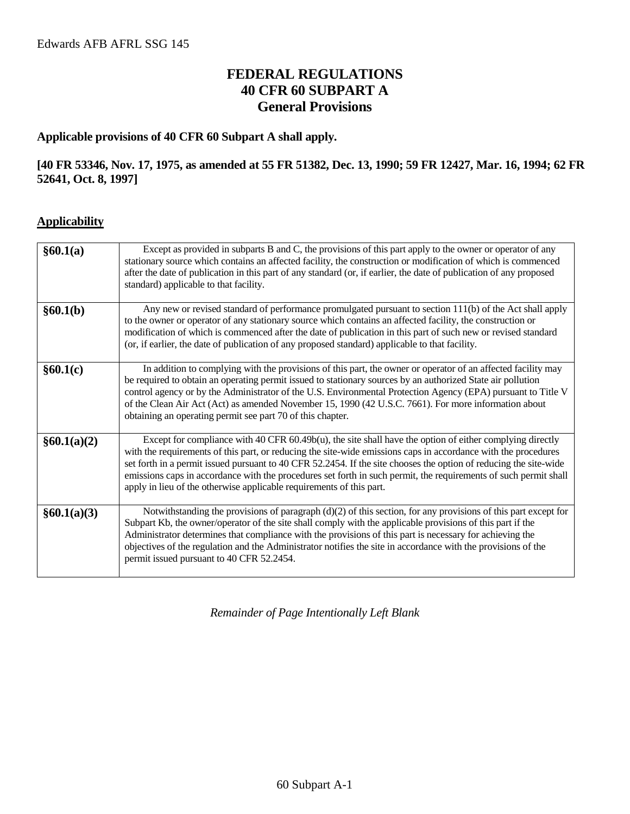# **FEDERAL REGULATIONS 40 CFR 60 SUBPART A General Provisions**

#### **Applicable provisions of 40 CFR 60 Subpart A shall apply.**

#### **[40 FR 53346, Nov. 17, 1975, as amended at 55 FR 51382, Dec. 13, 1990; 59 FR 12427, Mar. 16, 1994; 62 FR 52641, Oct. 8, 1997]**

#### **Applicability**

| §60.1(a)    | Except as provided in subparts B and C, the provisions of this part apply to the owner or operator of any<br>stationary source which contains an affected facility, the construction or modification of which is commenced<br>after the date of publication in this part of any standard (or, if earlier, the date of publication of any proposed<br>standard) applicable to that facility.                                                                                                                                                    |
|-------------|------------------------------------------------------------------------------------------------------------------------------------------------------------------------------------------------------------------------------------------------------------------------------------------------------------------------------------------------------------------------------------------------------------------------------------------------------------------------------------------------------------------------------------------------|
| §60.1(b)    | Any new or revised standard of performance promulgated pursuant to section 111(b) of the Act shall apply<br>to the owner or operator of any stationary source which contains an affected facility, the construction or<br>modification of which is commenced after the date of publication in this part of such new or revised standard<br>(or, if earlier, the date of publication of any proposed standard) applicable to that facility.                                                                                                     |
| §60.1(c)    | In addition to complying with the provisions of this part, the owner or operator of an affected facility may<br>be required to obtain an operating permit issued to stationary sources by an authorized State air pollution<br>control agency or by the Administrator of the U.S. Environmental Protection Agency (EPA) pursuant to Title V<br>of the Clean Air Act (Act) as amended November 15, 1990 (42 U.S.C. 7661). For more information about<br>obtaining an operating permit see part 70 of this chapter.                              |
| §60.1(a)(2) | Except for compliance with 40 CFR $60.49b(u)$ , the site shall have the option of either complying directly<br>with the requirements of this part, or reducing the site-wide emissions caps in accordance with the procedures<br>set forth in a permit issued pursuant to 40 CFR 52.2454. If the site chooses the option of reducing the site-wide<br>emissions caps in accordance with the procedures set forth in such permit, the requirements of such permit shall<br>apply in lieu of the otherwise applicable requirements of this part. |
| §60.1(a)(3) | Notwithstanding the provisions of paragraph (d)(2) of this section, for any provisions of this part except for<br>Subpart Kb, the owner/operator of the site shall comply with the applicable provisions of this part if the<br>Administrator determines that compliance with the provisions of this part is necessary for achieving the<br>objectives of the regulation and the Administrator notifies the site in accordance with the provisions of the<br>permit issued pursuant to 40 CFR 52.2454.                                         |

*Remainder of Page Intentionally Left Blank*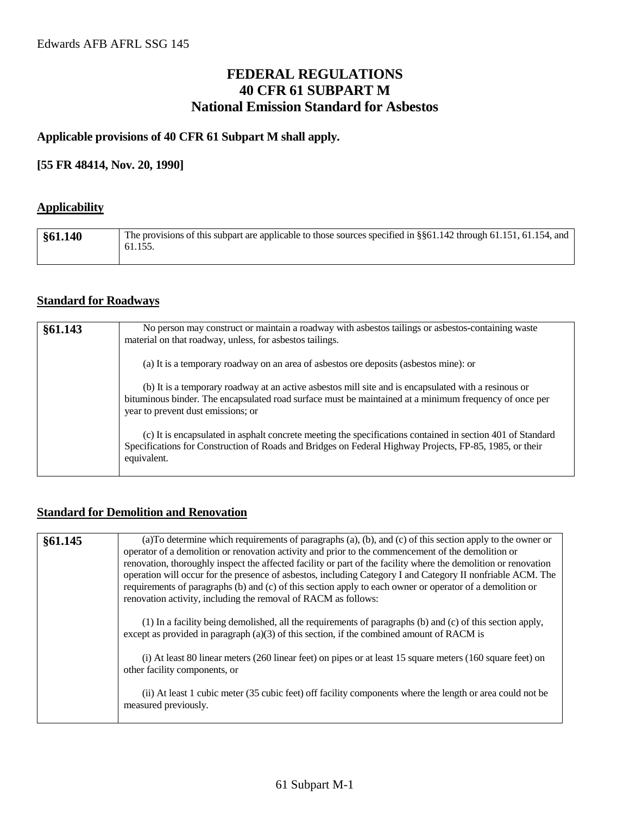# **FEDERAL REGULATIONS 40 CFR 61 SUBPART M National Emission Standard for Asbestos**

#### **Applicable provisions of 40 CFR 61 Subpart M shall apply.**

#### **[55 FR 48414, Nov. 20, 1990]**

# **Applicability**

| §61.140 | The provisions of this subpart are applicable to those sources specified in §§61.142 through 61.151, 61.154, and<br>61.155. |
|---------|-----------------------------------------------------------------------------------------------------------------------------|
|         |                                                                                                                             |

#### **Standard for Roadways**

| §61.143 | No person may construct or maintain a roadway with asbestos tailings or asbestos-containing waste<br>material on that roadway, unless, for asbestos tailings.                                                                                        |
|---------|------------------------------------------------------------------------------------------------------------------------------------------------------------------------------------------------------------------------------------------------------|
|         | (a) It is a temporary roadway on an area of asbestos ore deposits (asbestos mine): or                                                                                                                                                                |
|         | (b) It is a temporary roadway at an active asbestos mill site and is encapsulated with a resinous or<br>bituminous binder. The encapsulated road surface must be maintained at a minimum frequency of once per<br>year to prevent dust emissions; or |
|         | (c) It is encapsulated in asphalt concrete meeting the specifications contained in section 401 of Standard<br>Specifications for Construction of Roads and Bridges on Federal Highway Projects, FP-85, 1985, or their<br>equivalent.                 |

# **Standard for Demolition and Renovation**

| §61.145 | (a) To determine which requirements of paragraphs (a), (b), and (c) of this section apply to the owner or<br>operator of a demolition or renovation activity and prior to the commencement of the demolition or<br>renovation, thoroughly inspect the affected facility or part of the facility where the demolition or renovation<br>operation will occur for the presence of asbestos, including Category I and Category II nonfriable ACM. The<br>requirements of paragraphs (b) and (c) of this section apply to each owner or operator of a demolition or<br>renovation activity, including the removal of RACM as follows: |
|---------|----------------------------------------------------------------------------------------------------------------------------------------------------------------------------------------------------------------------------------------------------------------------------------------------------------------------------------------------------------------------------------------------------------------------------------------------------------------------------------------------------------------------------------------------------------------------------------------------------------------------------------|
|         | (1) In a facility being demolished, all the requirements of paragraphs (b) and (c) of this section apply,<br>except as provided in paragraph $(a)(3)$ of this section, if the combined amount of RACM is                                                                                                                                                                                                                                                                                                                                                                                                                         |
|         | (i) At least 80 linear meters (260 linear feet) on pipes or at least 15 square meters (160 square feet) on<br>other facility components, or                                                                                                                                                                                                                                                                                                                                                                                                                                                                                      |
|         | (ii) At least 1 cubic meter (35 cubic feet) off facility components where the length or area could not be<br>measured previously.                                                                                                                                                                                                                                                                                                                                                                                                                                                                                                |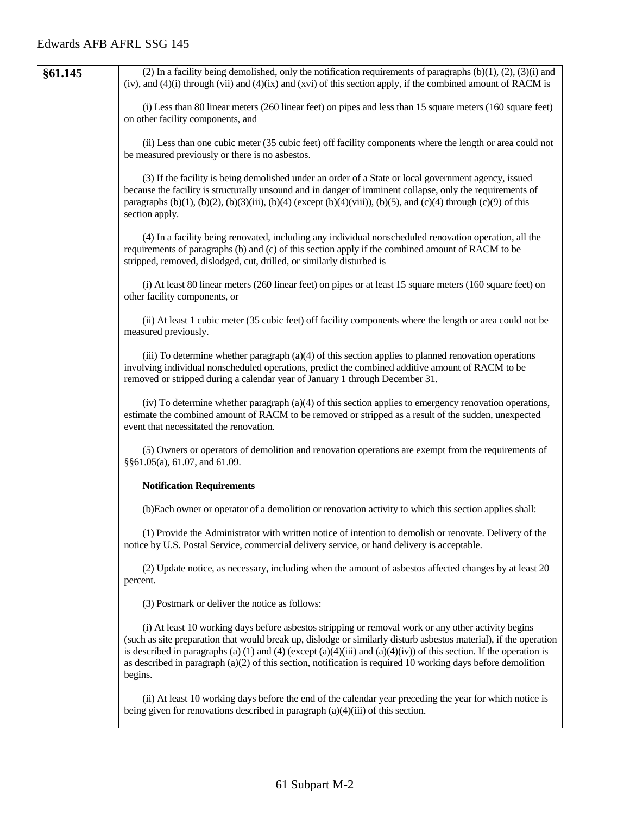| §61.145 | (2) In a facility being demolished, only the notification requirements of paragraphs $(b)(1)$ , $(2)$ , $(3)(i)$ and<br>(iv), and $(4)(i)$ through (vii) and $(4)(ix)$ and (xvi) of this section apply, if the combined amount of RACM is                                                                                                                                                                                                                                    |
|---------|------------------------------------------------------------------------------------------------------------------------------------------------------------------------------------------------------------------------------------------------------------------------------------------------------------------------------------------------------------------------------------------------------------------------------------------------------------------------------|
|         | (i) Less than 80 linear meters (260 linear feet) on pipes and less than 15 square meters (160 square feet)<br>on other facility components, and                                                                                                                                                                                                                                                                                                                              |
|         | (ii) Less than one cubic meter (35 cubic feet) off facility components where the length or area could not<br>be measured previously or there is no asbestos.                                                                                                                                                                                                                                                                                                                 |
|         | (3) If the facility is being demolished under an order of a State or local government agency, issued<br>because the facility is structurally unsound and in danger of imminent collapse, only the requirements of<br>paragraphs (b)(1), (b)(2), (b)(3)(iii), (b)(4) (except (b)(4)(viii)), (b)(5), and (c)(4) through (c)(9) of this<br>section apply.                                                                                                                       |
|         | (4) In a facility being renovated, including any individual nonscheduled renovation operation, all the<br>requirements of paragraphs (b) and (c) of this section apply if the combined amount of RACM to be<br>stripped, removed, dislodged, cut, drilled, or similarly disturbed is                                                                                                                                                                                         |
|         | (i) At least 80 linear meters (260 linear feet) on pipes or at least 15 square meters (160 square feet) on<br>other facility components, or                                                                                                                                                                                                                                                                                                                                  |
|         | (ii) At least 1 cubic meter (35 cubic feet) off facility components where the length or area could not be<br>measured previously.                                                                                                                                                                                                                                                                                                                                            |
|         | (iii) To determine whether paragraph $(a)(4)$ of this section applies to planned renovation operations<br>involving individual nonscheduled operations, predict the combined additive amount of RACM to be<br>removed or stripped during a calendar year of January 1 through December 31.                                                                                                                                                                                   |
|         | (iv) To determine whether paragraph (a)(4) of this section applies to emergency renovation operations,<br>estimate the combined amount of RACM to be removed or stripped as a result of the sudden, unexpected<br>event that necessitated the renovation.                                                                                                                                                                                                                    |
|         | (5) Owners or operators of demolition and renovation operations are exempt from the requirements of<br>§§61.05(a), 61.07, and 61.09.                                                                                                                                                                                                                                                                                                                                         |
|         | <b>Notification Requirements</b>                                                                                                                                                                                                                                                                                                                                                                                                                                             |
|         | (b) Each owner or operator of a demolition or renovation activity to which this section applies shall:                                                                                                                                                                                                                                                                                                                                                                       |
|         | (1) Provide the Administrator with written notice of intention to demolish or renovate. Delivery of the<br>notice by U.S. Postal Service, commercial delivery service, or hand delivery is acceptable.                                                                                                                                                                                                                                                                       |
|         | (2) Update notice, as necessary, including when the amount of asbestos affected changes by at least 20<br>percent.                                                                                                                                                                                                                                                                                                                                                           |
|         | (3) Postmark or deliver the notice as follows:                                                                                                                                                                                                                                                                                                                                                                                                                               |
|         | (i) At least 10 working days before asbestos stripping or removal work or any other activity begins<br>(such as site preparation that would break up, dislodge or similarly disturb asbestos material), if the operation<br>is described in paragraphs (a) (1) and (4) (except (a)(4)(iii) and (a)(4)(iv)) of this section. If the operation is<br>as described in paragraph $(a)(2)$ of this section, notification is required 10 working days before demolition<br>begins. |
|         | (ii) At least 10 working days before the end of the calendar year preceding the year for which notice is<br>being given for renovations described in paragraph $(a)(4)(iii)$ of this section.                                                                                                                                                                                                                                                                                |
|         |                                                                                                                                                                                                                                                                                                                                                                                                                                                                              |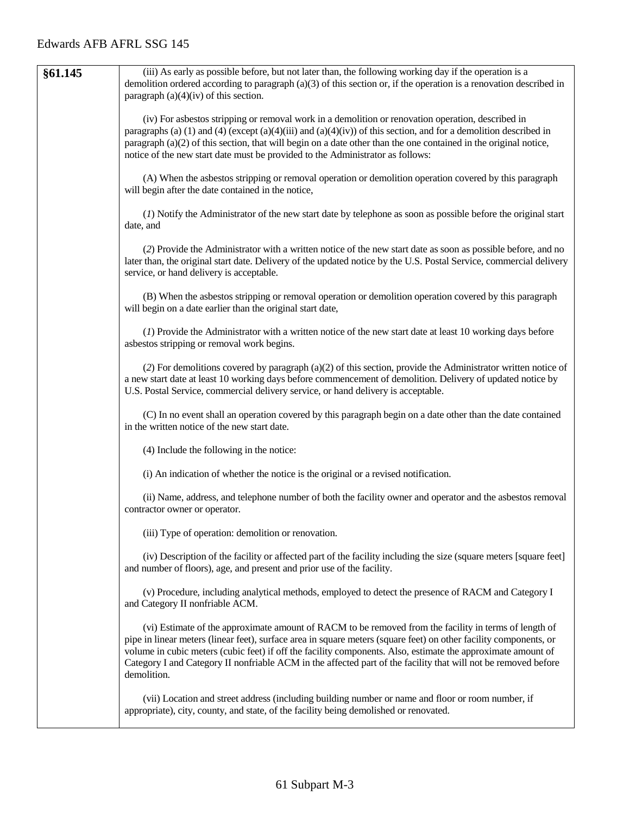| §61.145 | (iii) As early as possible before, but not later than, the following working day if the operation is a<br>demolition ordered according to paragraph (a)(3) of this section or, if the operation is a renovation described in<br>paragraph $(a)(4)(iv)$ of this section.                                                                                                                                                                                                     |
|---------|-----------------------------------------------------------------------------------------------------------------------------------------------------------------------------------------------------------------------------------------------------------------------------------------------------------------------------------------------------------------------------------------------------------------------------------------------------------------------------|
|         | (iv) For asbestos stripping or removal work in a demolition or renovation operation, described in<br>paragraphs (a) (1) and (4) (except (a)(4)(iii) and (a)(4)(iv)) of this section, and for a demolition described in<br>paragraph (a)(2) of this section, that will begin on a date other than the one contained in the original notice,<br>notice of the new start date must be provided to the Administrator as follows:                                                |
|         | (A) When the asbestos stripping or removal operation or demolition operation covered by this paragraph<br>will begin after the date contained in the notice,                                                                                                                                                                                                                                                                                                                |
|         | (1) Notify the Administrator of the new start date by telephone as soon as possible before the original start<br>date, and                                                                                                                                                                                                                                                                                                                                                  |
|         | (2) Provide the Administrator with a written notice of the new start date as soon as possible before, and no<br>later than, the original start date. Delivery of the updated notice by the U.S. Postal Service, commercial delivery<br>service, or hand delivery is acceptable.                                                                                                                                                                                             |
|         | (B) When the asbestos stripping or removal operation or demolition operation covered by this paragraph<br>will begin on a date earlier than the original start date,                                                                                                                                                                                                                                                                                                        |
|         | (1) Provide the Administrator with a written notice of the new start date at least 10 working days before<br>asbestos stripping or removal work begins.                                                                                                                                                                                                                                                                                                                     |
|         | (2) For demolitions covered by paragraph (a)(2) of this section, provide the Administrator written notice of<br>a new start date at least 10 working days before commencement of demolition. Delivery of updated notice by<br>U.S. Postal Service, commercial delivery service, or hand delivery is acceptable.                                                                                                                                                             |
|         | (C) In no event shall an operation covered by this paragraph begin on a date other than the date contained<br>in the written notice of the new start date.                                                                                                                                                                                                                                                                                                                  |
|         | (4) Include the following in the notice:                                                                                                                                                                                                                                                                                                                                                                                                                                    |
|         | (i) An indication of whether the notice is the original or a revised notification.                                                                                                                                                                                                                                                                                                                                                                                          |
|         | (ii) Name, address, and telephone number of both the facility owner and operator and the asbestos removal<br>contractor owner or operator.                                                                                                                                                                                                                                                                                                                                  |
|         | (iii) Type of operation: demolition or renovation.                                                                                                                                                                                                                                                                                                                                                                                                                          |
|         | (iv) Description of the facility or affected part of the facility including the size (square meters [square feet]<br>and number of floors), age, and present and prior use of the facility.                                                                                                                                                                                                                                                                                 |
|         | (v) Procedure, including analytical methods, employed to detect the presence of RACM and Category I<br>and Category II nonfriable ACM.                                                                                                                                                                                                                                                                                                                                      |
|         | (vi) Estimate of the approximate amount of RACM to be removed from the facility in terms of length of<br>pipe in linear meters (linear feet), surface area in square meters (square feet) on other facility components, or<br>volume in cubic meters (cubic feet) if off the facility components. Also, estimate the approximate amount of<br>Category I and Category II nonfriable ACM in the affected part of the facility that will not be removed before<br>demolition. |
|         | (vii) Location and street address (including building number or name and floor or room number, if<br>appropriate), city, county, and state, of the facility being demolished or renovated.                                                                                                                                                                                                                                                                                  |
|         |                                                                                                                                                                                                                                                                                                                                                                                                                                                                             |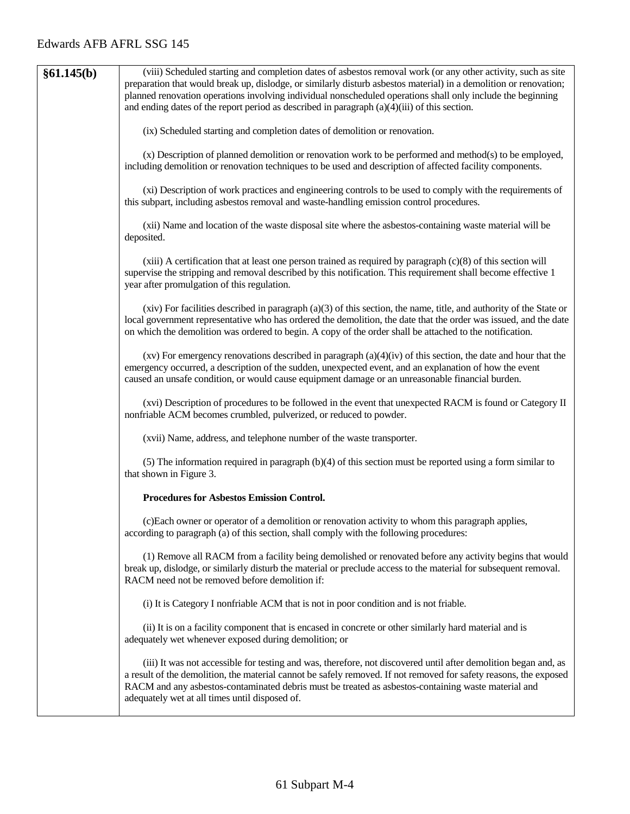| §61.145(b) | (viii) Scheduled starting and completion dates of asbestos removal work (or any other activity, such as site                                                                                                                                                                                                                                                                                  |
|------------|-----------------------------------------------------------------------------------------------------------------------------------------------------------------------------------------------------------------------------------------------------------------------------------------------------------------------------------------------------------------------------------------------|
|            | preparation that would break up, dislodge, or similarly disturb asbestos material) in a demolition or renovation;<br>planned renovation operations involving individual nonscheduled operations shall only include the beginning<br>and ending dates of the report period as described in paragraph $(a)(4)(iii)$ of this section.                                                            |
|            | (ix) Scheduled starting and completion dates of demolition or renovation.                                                                                                                                                                                                                                                                                                                     |
|            | (x) Description of planned demolition or renovation work to be performed and method(s) to be employed,<br>including demolition or renovation techniques to be used and description of affected facility components.                                                                                                                                                                           |
|            | (xi) Description of work practices and engineering controls to be used to comply with the requirements of<br>this subpart, including asbestos removal and waste-handling emission control procedures.                                                                                                                                                                                         |
|            | (xii) Name and location of the waste disposal site where the asbestos-containing waste material will be<br>deposited.                                                                                                                                                                                                                                                                         |
|            | $(xiii)$ A certification that at least one person trained as required by paragraph $(c)(8)$ of this section will<br>supervise the stripping and removal described by this notification. This requirement shall become effective 1<br>year after promulgation of this regulation.                                                                                                              |
|            | $(xiv)$ For facilities described in paragraph $(a)(3)$ of this section, the name, title, and authority of the State or<br>local government representative who has ordered the demolition, the date that the order was issued, and the date<br>on which the demolition was ordered to begin. A copy of the order shall be attached to the notification.                                        |
|            | $(xv)$ For emergency renovations described in paragraph $(a)(4)(iv)$ of this section, the date and hour that the<br>emergency occurred, a description of the sudden, unexpected event, and an explanation of how the event<br>caused an unsafe condition, or would cause equipment damage or an unreasonable financial burden.                                                                |
|            | (xvi) Description of procedures to be followed in the event that unexpected RACM is found or Category II<br>nonfriable ACM becomes crumbled, pulverized, or reduced to powder.                                                                                                                                                                                                                |
|            | (xvii) Name, address, and telephone number of the waste transporter.                                                                                                                                                                                                                                                                                                                          |
|            | (5) The information required in paragraph $(b)(4)$ of this section must be reported using a form similar to<br>that shown in Figure 3.                                                                                                                                                                                                                                                        |
|            | <b>Procedures for Asbestos Emission Control.</b>                                                                                                                                                                                                                                                                                                                                              |
|            | (c) Each owner or operator of a demolition or renovation activity to whom this paragraph applies,<br>according to paragraph (a) of this section, shall comply with the following procedures:                                                                                                                                                                                                  |
|            | (1) Remove all RACM from a facility being demolished or renovated before any activity begins that would<br>break up, dislodge, or similarly disturb the material or preclude access to the material for subsequent removal.<br>RACM need not be removed before demolition if:                                                                                                                 |
|            | (i) It is Category I nonfriable ACM that is not in poor condition and is not friable.                                                                                                                                                                                                                                                                                                         |
|            | (ii) It is on a facility component that is encased in concrete or other similarly hard material and is<br>adequately wet whenever exposed during demolition; or                                                                                                                                                                                                                               |
|            | (iii) It was not accessible for testing and was, therefore, not discovered until after demolition began and, as<br>a result of the demolition, the material cannot be safely removed. If not removed for safety reasons, the exposed<br>RACM and any asbestos-contaminated debris must be treated as asbestos-containing waste material and<br>adequately wet at all times until disposed of. |
|            |                                                                                                                                                                                                                                                                                                                                                                                               |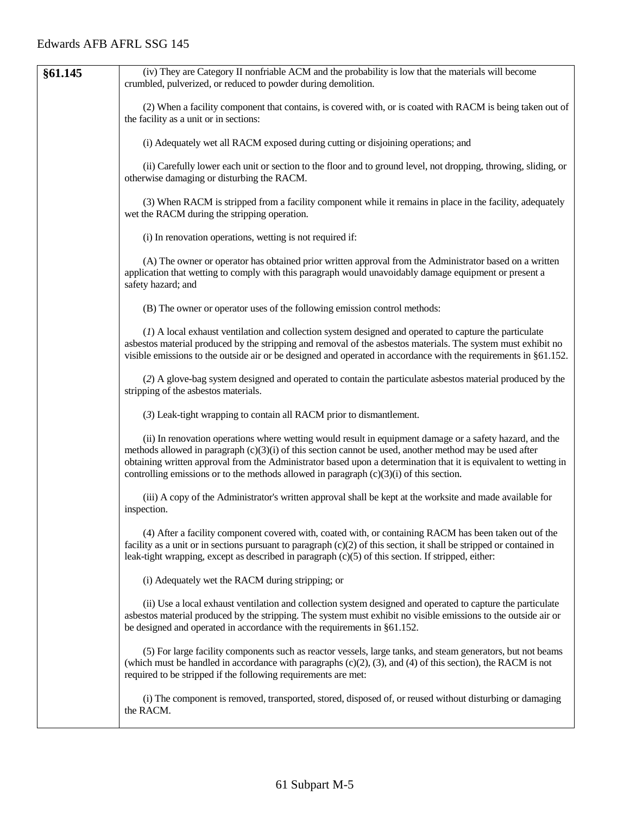| §61.145 | (iv) They are Category II nonfriable ACM and the probability is low that the materials will become<br>crumbled, pulverized, or reduced to powder during demolition.                                                                                                                                                                                                                                                                    |
|---------|----------------------------------------------------------------------------------------------------------------------------------------------------------------------------------------------------------------------------------------------------------------------------------------------------------------------------------------------------------------------------------------------------------------------------------------|
|         | (2) When a facility component that contains, is covered with, or is coated with RACM is being taken out of<br>the facility as a unit or in sections:                                                                                                                                                                                                                                                                                   |
|         | (i) Adequately wet all RACM exposed during cutting or disjoining operations; and                                                                                                                                                                                                                                                                                                                                                       |
|         | (ii) Carefully lower each unit or section to the floor and to ground level, not dropping, throwing, sliding, or<br>otherwise damaging or disturbing the RACM.                                                                                                                                                                                                                                                                          |
|         | (3) When RACM is stripped from a facility component while it remains in place in the facility, adequately<br>wet the RACM during the stripping operation.                                                                                                                                                                                                                                                                              |
|         | (i) In renovation operations, wetting is not required if:                                                                                                                                                                                                                                                                                                                                                                              |
|         | (A) The owner or operator has obtained prior written approval from the Administrator based on a written<br>application that wetting to comply with this paragraph would unavoidably damage equipment or present a<br>safety hazard; and                                                                                                                                                                                                |
|         | (B) The owner or operator uses of the following emission control methods:                                                                                                                                                                                                                                                                                                                                                              |
|         | (1) A local exhaust ventilation and collection system designed and operated to capture the particulate<br>asbestos material produced by the stripping and removal of the asbestos materials. The system must exhibit no<br>visible emissions to the outside air or be designed and operated in accordance with the requirements in $\S61.152$ .                                                                                        |
|         | (2) A glove-bag system designed and operated to contain the particulate asbestos material produced by the<br>stripping of the asbestos materials.                                                                                                                                                                                                                                                                                      |
|         | (3) Leak-tight wrapping to contain all RACM prior to dismantlement.                                                                                                                                                                                                                                                                                                                                                                    |
|         | (ii) In renovation operations where wetting would result in equipment damage or a safety hazard, and the<br>methods allowed in paragraph $(c)(3)(i)$ of this section cannot be used, another method may be used after<br>obtaining written approval from the Administrator based upon a determination that it is equivalent to wetting in<br>controlling emissions or to the methods allowed in paragraph $(c)(3)(i)$ of this section. |
|         | (iii) A copy of the Administrator's written approval shall be kept at the worksite and made available for<br>inspection.                                                                                                                                                                                                                                                                                                               |
|         | (4) After a facility component covered with, coated with, or containing RACM has been taken out of the<br>facility as a unit or in sections pursuant to paragraph $(c)(2)$ of this section, it shall be stripped or contained in<br>leak-tight wrapping, except as described in paragraph (c)(5) of this section. If stripped, either:                                                                                                 |
|         | (i) Adequately wet the RACM during stripping; or                                                                                                                                                                                                                                                                                                                                                                                       |
|         | (ii) Use a local exhaust ventilation and collection system designed and operated to capture the particulate<br>asbestos material produced by the stripping. The system must exhibit no visible emissions to the outside air or<br>be designed and operated in accordance with the requirements in §61.152.                                                                                                                             |
|         | (5) For large facility components such as reactor vessels, large tanks, and steam generators, but not beams<br>(which must be handled in accordance with paragraphs $(c)(2)$ , $(3)$ , and $(4)$ of this section), the RACM is not<br>required to be stripped if the following requirements are met:                                                                                                                                   |
|         | (i) The component is removed, transported, stored, disposed of, or reused without disturbing or damaging<br>the RACM.                                                                                                                                                                                                                                                                                                                  |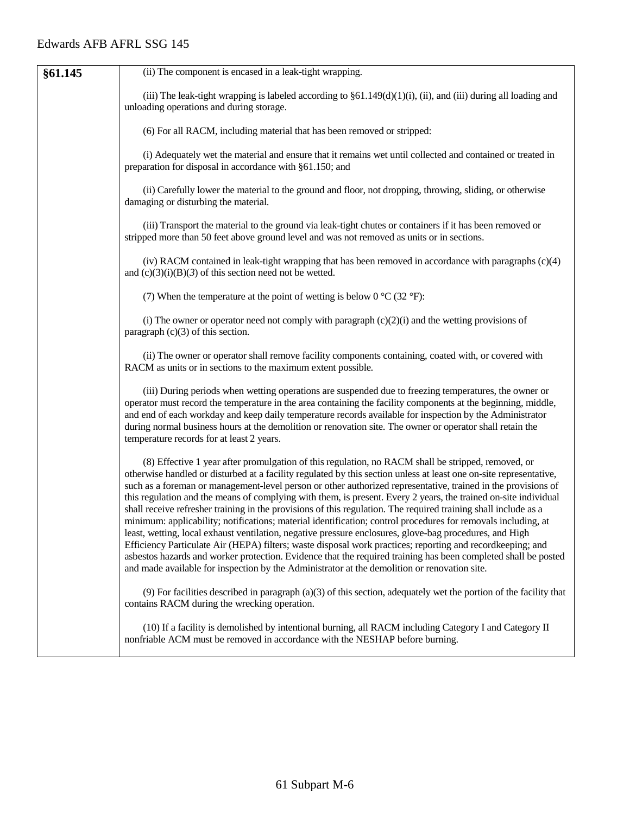| §61.145 | (ii) The component is encased in a leak-tight wrapping.                                                                                                                                                                                                                                                                                                                                                                                                                                                                                                                                                                                                                                                                                                                                                                                                                                                                                                                                                                                                                                                                                     |
|---------|---------------------------------------------------------------------------------------------------------------------------------------------------------------------------------------------------------------------------------------------------------------------------------------------------------------------------------------------------------------------------------------------------------------------------------------------------------------------------------------------------------------------------------------------------------------------------------------------------------------------------------------------------------------------------------------------------------------------------------------------------------------------------------------------------------------------------------------------------------------------------------------------------------------------------------------------------------------------------------------------------------------------------------------------------------------------------------------------------------------------------------------------|
|         | (iii) The leak-tight wrapping is labeled according to $\S61.149(d)(1)(i)$ , (ii), and (iii) during all loading and<br>unloading operations and during storage.                                                                                                                                                                                                                                                                                                                                                                                                                                                                                                                                                                                                                                                                                                                                                                                                                                                                                                                                                                              |
|         | (6) For all RACM, including material that has been removed or stripped:                                                                                                                                                                                                                                                                                                                                                                                                                                                                                                                                                                                                                                                                                                                                                                                                                                                                                                                                                                                                                                                                     |
|         | (i) Adequately wet the material and ensure that it remains wet until collected and contained or treated in<br>preparation for disposal in accordance with §61.150; and                                                                                                                                                                                                                                                                                                                                                                                                                                                                                                                                                                                                                                                                                                                                                                                                                                                                                                                                                                      |
|         | (ii) Carefully lower the material to the ground and floor, not dropping, throwing, sliding, or otherwise<br>damaging or disturbing the material.                                                                                                                                                                                                                                                                                                                                                                                                                                                                                                                                                                                                                                                                                                                                                                                                                                                                                                                                                                                            |
|         | (iii) Transport the material to the ground via leak-tight chutes or containers if it has been removed or<br>stripped more than 50 feet above ground level and was not removed as units or in sections.                                                                                                                                                                                                                                                                                                                                                                                                                                                                                                                                                                                                                                                                                                                                                                                                                                                                                                                                      |
|         | (iv) RACM contained in leak-tight wrapping that has been removed in accordance with paragraphs $(c)(4)$<br>and $(c)(3)(i)(B)(3)$ of this section need not be wetted.                                                                                                                                                                                                                                                                                                                                                                                                                                                                                                                                                                                                                                                                                                                                                                                                                                                                                                                                                                        |
|         | (7) When the temperature at the point of wetting is below 0 $^{\circ}$ C (32 $^{\circ}$ F):                                                                                                                                                                                                                                                                                                                                                                                                                                                                                                                                                                                                                                                                                                                                                                                                                                                                                                                                                                                                                                                 |
|         | (i) The owner or operator need not comply with paragraph $(c)(2)(i)$ and the wetting provisions of<br>paragraph $(c)(3)$ of this section.                                                                                                                                                                                                                                                                                                                                                                                                                                                                                                                                                                                                                                                                                                                                                                                                                                                                                                                                                                                                   |
|         | (ii) The owner or operator shall remove facility components containing, coated with, or covered with<br>RACM as units or in sections to the maximum extent possible.                                                                                                                                                                                                                                                                                                                                                                                                                                                                                                                                                                                                                                                                                                                                                                                                                                                                                                                                                                        |
|         | (iii) During periods when wetting operations are suspended due to freezing temperatures, the owner or<br>operator must record the temperature in the area containing the facility components at the beginning, middle,<br>and end of each workday and keep daily temperature records available for inspection by the Administrator<br>during normal business hours at the demolition or renovation site. The owner or operator shall retain the<br>temperature records for at least 2 years.                                                                                                                                                                                                                                                                                                                                                                                                                                                                                                                                                                                                                                                |
|         | (8) Effective 1 year after promulgation of this regulation, no RACM shall be stripped, removed, or<br>otherwise handled or disturbed at a facility regulated by this section unless at least one on-site representative,<br>such as a foreman or management-level person or other authorized representative, trained in the provisions of<br>this regulation and the means of complying with them, is present. Every 2 years, the trained on-site individual<br>shall receive refresher training in the provisions of this regulation. The required training shall include as a<br>minimum: applicability; notifications; material identification; control procedures for removals including, at<br>least, wetting, local exhaust ventilation, negative pressure enclosures, glove-bag procedures, and High<br>Efficiency Particulate Air (HEPA) filters; waste disposal work practices; reporting and recordkeeping; and<br>asbestos hazards and worker protection. Evidence that the required training has been completed shall be posted<br>and made available for inspection by the Administrator at the demolition or renovation site. |
|         | $(9)$ For facilities described in paragraph (a)(3) of this section, adequately wet the portion of the facility that<br>contains RACM during the wrecking operation.                                                                                                                                                                                                                                                                                                                                                                                                                                                                                                                                                                                                                                                                                                                                                                                                                                                                                                                                                                         |
|         | (10) If a facility is demolished by intentional burning, all RACM including Category I and Category II<br>nonfriable ACM must be removed in accordance with the NESHAP before burning.                                                                                                                                                                                                                                                                                                                                                                                                                                                                                                                                                                                                                                                                                                                                                                                                                                                                                                                                                      |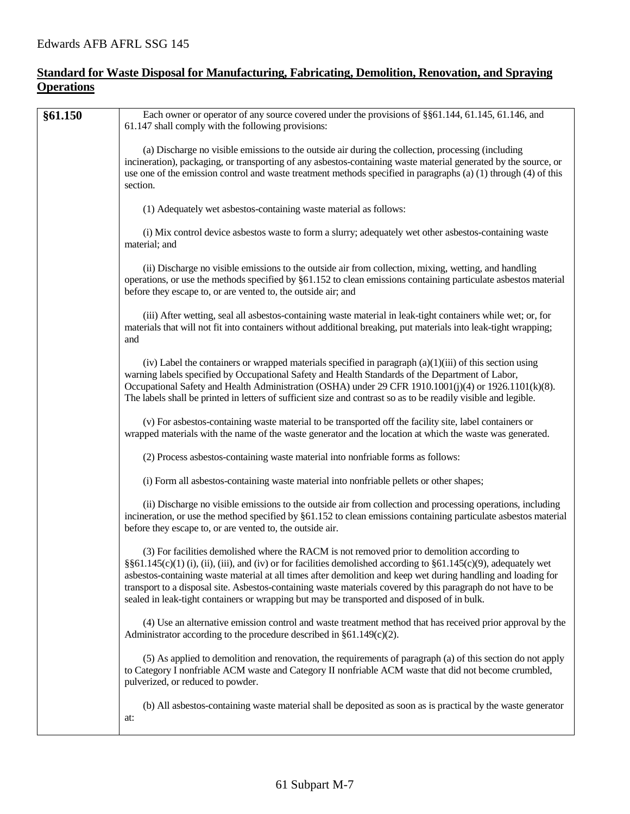# **Standard for Waste Disposal for Manufacturing, Fabricating, Demolition, Renovation, and Spraying Operations**

| §61.150 | Each owner or operator of any source covered under the provisions of §§61.144, 61.145, 61.146, and<br>61.147 shall comply with the following provisions:                                                                                                                                                                                                                                                                                                                                                                                       |
|---------|------------------------------------------------------------------------------------------------------------------------------------------------------------------------------------------------------------------------------------------------------------------------------------------------------------------------------------------------------------------------------------------------------------------------------------------------------------------------------------------------------------------------------------------------|
|         | (a) Discharge no visible emissions to the outside air during the collection, processing (including<br>incineration), packaging, or transporting of any asbestos-containing waste material generated by the source, or<br>use one of the emission control and waste treatment methods specified in paragraphs (a) (1) through (4) of this<br>section.                                                                                                                                                                                           |
|         | (1) Adequately wet asbestos-containing waste material as follows:                                                                                                                                                                                                                                                                                                                                                                                                                                                                              |
|         | (i) Mix control device asbestos waste to form a slurry; adequately wet other asbestos-containing waste<br>material; and                                                                                                                                                                                                                                                                                                                                                                                                                        |
|         | (ii) Discharge no visible emissions to the outside air from collection, mixing, wetting, and handling<br>operations, or use the methods specified by §61.152 to clean emissions containing particulate asbestos material<br>before they escape to, or are vented to, the outside air; and                                                                                                                                                                                                                                                      |
|         | (iii) After wetting, seal all asbestos-containing waste material in leak-tight containers while wet; or, for<br>materials that will not fit into containers without additional breaking, put materials into leak-tight wrapping;<br>and                                                                                                                                                                                                                                                                                                        |
|         | (iv) Label the containers or wrapped materials specified in paragraph $(a)(1)(iii)$ of this section using<br>warning labels specified by Occupational Safety and Health Standards of the Department of Labor,<br>Occupational Safety and Health Administration (OSHA) under 29 CFR 1910.1001(j)(4) or 1926.1101(k)(8).<br>The labels shall be printed in letters of sufficient size and contrast so as to be readily visible and legible.                                                                                                      |
|         | (v) For asbestos-containing waste material to be transported off the facility site, label containers or<br>wrapped materials with the name of the waste generator and the location at which the waste was generated.                                                                                                                                                                                                                                                                                                                           |
|         | (2) Process asbestos-containing waste material into nonfriable forms as follows:                                                                                                                                                                                                                                                                                                                                                                                                                                                               |
|         | (i) Form all asbestos-containing waste material into nonfriable pellets or other shapes;                                                                                                                                                                                                                                                                                                                                                                                                                                                       |
|         | (ii) Discharge no visible emissions to the outside air from collection and processing operations, including<br>incineration, or use the method specified by §61.152 to clean emissions containing particulate asbestos material<br>before they escape to, or are vented to, the outside air.                                                                                                                                                                                                                                                   |
|         | (3) For facilities demolished where the RACM is not removed prior to demolition according to<br>§§61.145(c)(1)(i),(ii),(iii), and(iv) or for facilities demolished according to §61.145(c)(9), adequately wet<br>asbestos-containing waste material at all times after demolition and keep wet during handling and loading for<br>transport to a disposal site. Asbestos-containing waste materials covered by this paragraph do not have to be<br>sealed in leak-tight containers or wrapping but may be transported and disposed of in bulk. |
|         | (4) Use an alternative emission control and waste treatment method that has received prior approval by the<br>Administrator according to the procedure described in $\S61.149(c)(2)$ .                                                                                                                                                                                                                                                                                                                                                         |
|         | (5) As applied to demolition and renovation, the requirements of paragraph (a) of this section do not apply<br>to Category I nonfriable ACM waste and Category II nonfriable ACM waste that did not become crumbled,<br>pulverized, or reduced to powder.                                                                                                                                                                                                                                                                                      |
|         | (b) All asbestos-containing waste material shall be deposited as soon as is practical by the waste generator<br>at:                                                                                                                                                                                                                                                                                                                                                                                                                            |
|         |                                                                                                                                                                                                                                                                                                                                                                                                                                                                                                                                                |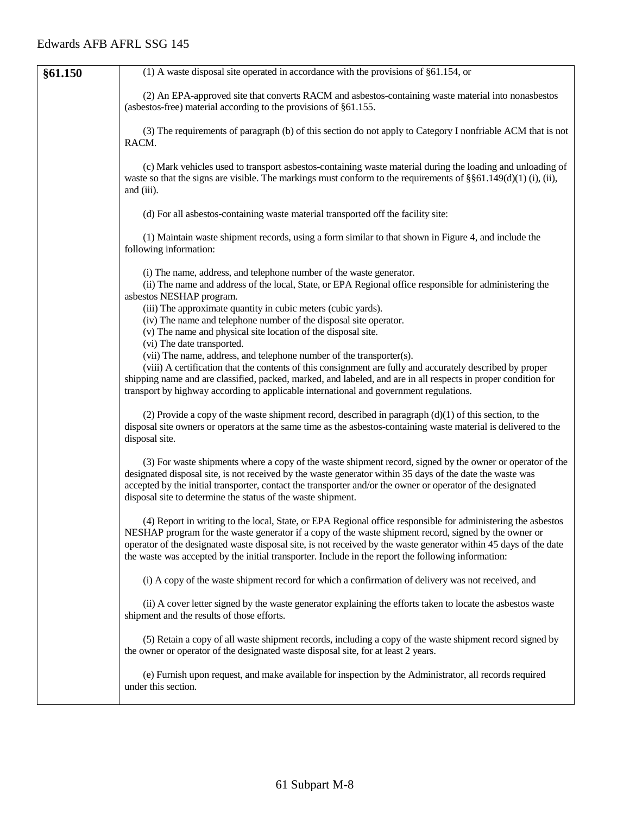| §61.150 | $(1)$ A waste disposal site operated in accordance with the provisions of §61.154, or                                                                                                                                                                                                                                                                                                                                                             |
|---------|---------------------------------------------------------------------------------------------------------------------------------------------------------------------------------------------------------------------------------------------------------------------------------------------------------------------------------------------------------------------------------------------------------------------------------------------------|
|         | (2) An EPA-approved site that converts RACM and asbestos-containing waste material into nonasbestos<br>(asbestos-free) material according to the provisions of $§61.155$ .                                                                                                                                                                                                                                                                        |
|         | (3) The requirements of paragraph (b) of this section do not apply to Category I nonfriable ACM that is not<br>RACM.                                                                                                                                                                                                                                                                                                                              |
|         | (c) Mark vehicles used to transport asbestos-containing waste material during the loading and unloading of<br>waste so that the signs are visible. The markings must conform to the requirements of $\S$ $61.149(d)(1)$ (i), (ii),<br>and (iii).                                                                                                                                                                                                  |
|         | (d) For all asbestos-containing waste material transported off the facility site:                                                                                                                                                                                                                                                                                                                                                                 |
|         | (1) Maintain waste shipment records, using a form similar to that shown in Figure 4, and include the<br>following information:                                                                                                                                                                                                                                                                                                                    |
|         | (i) The name, address, and telephone number of the waste generator.<br>(ii) The name and address of the local, State, or EPA Regional office responsible for administering the<br>asbestos NESHAP program.<br>(iii) The approximate quantity in cubic meters (cubic yards).<br>(iv) The name and telephone number of the disposal site operator.<br>(v) The name and physical site location of the disposal site.                                 |
|         | (vi) The date transported.                                                                                                                                                                                                                                                                                                                                                                                                                        |
|         | (vii) The name, address, and telephone number of the transporter(s).<br>(viii) A certification that the contents of this consignment are fully and accurately described by proper<br>shipping name and are classified, packed, marked, and labeled, and are in all respects in proper condition for<br>transport by highway according to applicable international and government regulations.                                                     |
|         | (2) Provide a copy of the waste shipment record, described in paragraph $(d)(1)$ of this section, to the<br>disposal site owners or operators at the same time as the asbestos-containing waste material is delivered to the<br>disposal site.                                                                                                                                                                                                    |
|         | (3) For waste shipments where a copy of the waste shipment record, signed by the owner or operator of the<br>designated disposal site, is not received by the waste generator within 35 days of the date the waste was<br>accepted by the initial transporter, contact the transporter and/or the owner or operator of the designated<br>disposal site to determine the status of the waste shipment.                                             |
|         | (4) Report in writing to the local, State, or EPA Regional office responsible for administering the asbestos<br>NESHAP program for the waste generator if a copy of the waste shipment record, signed by the owner or<br>operator of the designated waste disposal site, is not received by the waste generator within 45 days of the date<br>the waste was accepted by the initial transporter. Include in the report the following information: |
|         | (i) A copy of the waste shipment record for which a confirmation of delivery was not received, and                                                                                                                                                                                                                                                                                                                                                |
|         | (ii) A cover letter signed by the waste generator explaining the efforts taken to locate the asbestos waste<br>shipment and the results of those efforts.                                                                                                                                                                                                                                                                                         |
|         | (5) Retain a copy of all waste shipment records, including a copy of the waste shipment record signed by<br>the owner or operator of the designated waste disposal site, for at least 2 years.                                                                                                                                                                                                                                                    |
|         | (e) Furnish upon request, and make available for inspection by the Administrator, all records required<br>under this section.                                                                                                                                                                                                                                                                                                                     |
|         |                                                                                                                                                                                                                                                                                                                                                                                                                                                   |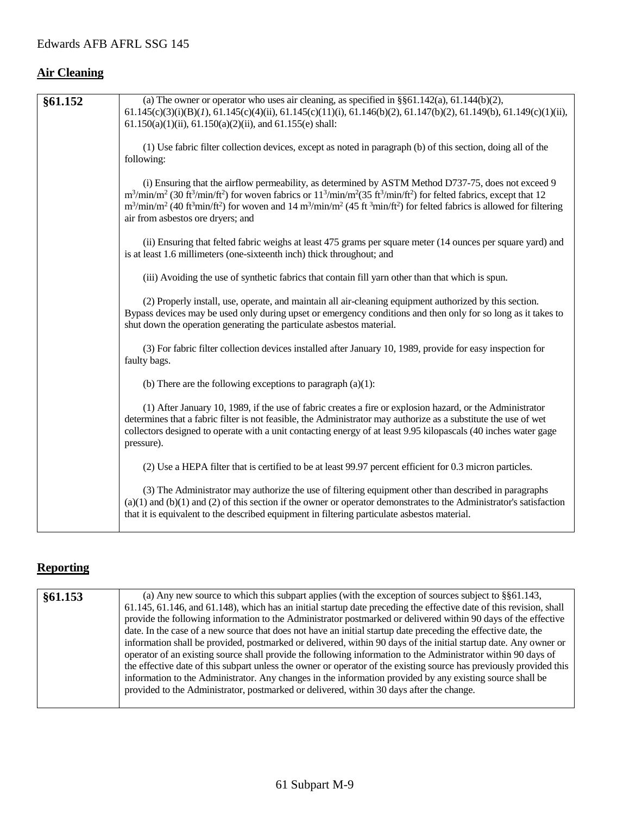# **Air Cleaning**

| §61.152 | (a) The owner or operator who uses air cleaning, as specified in $\S$ §61.142(a), 61.144(b)(2),                                                                                                          |
|---------|----------------------------------------------------------------------------------------------------------------------------------------------------------------------------------------------------------|
|         | $61.145(c)(3)(i)(B)(I), 61.145(c)(4)(ii), 61.145(c)(11)(i), 61.146(b)(2), 61.147(b)(2), 61.149(b), 61.149(c)(1)(ii),$                                                                                    |
|         | $61.150(a)(1)(ii)$ , $61.150(a)(2)(ii)$ , and $61.155(e)$ shall:                                                                                                                                         |
|         |                                                                                                                                                                                                          |
|         | (1) Use fabric filter collection devices, except as noted in paragraph (b) of this section, doing all of the                                                                                             |
|         | following:                                                                                                                                                                                               |
|         |                                                                                                                                                                                                          |
|         | (i) Ensuring that the airflow permeability, as determined by ASTM Method D737-75, does not exceed 9                                                                                                      |
|         | $m^3/min/m^2$ (30 ft <sup>3</sup> /min/ft <sup>2</sup> ) for woven fabrics or $11^3/min/m^2$ (35 ft <sup>3</sup> /min/ft <sup>2</sup> ) for felted fabrics, except that 12                               |
|         | $m^3/\text{min/m}^2$ (40 ft <sup>3</sup> min/ft <sup>2</sup> ) for woven and 14 m <sup>3</sup> /min/m <sup>2</sup> (45 ft <sup>3</sup> min/ft <sup>2</sup> ) for felted fabrics is allowed for filtering |
|         | air from asbestos ore dryers; and                                                                                                                                                                        |
|         |                                                                                                                                                                                                          |
|         | (ii) Ensuring that felted fabric weighs at least 475 grams per square meter (14 ounces per square yard) and                                                                                              |
|         | is at least 1.6 millimeters (one-sixteenth inch) thick throughout; and                                                                                                                                   |
|         | (iii) Avoiding the use of synthetic fabrics that contain fill yarn other than that which is spun.                                                                                                        |
|         |                                                                                                                                                                                                          |
|         | (2) Properly install, use, operate, and maintain all air-cleaning equipment authorized by this section.                                                                                                  |
|         | Bypass devices may be used only during upset or emergency conditions and then only for so long as it takes to                                                                                            |
|         | shut down the operation generating the particulate asbestos material.                                                                                                                                    |
|         |                                                                                                                                                                                                          |
|         | (3) For fabric filter collection devices installed after January 10, 1989, provide for easy inspection for                                                                                               |
|         | faulty bags.                                                                                                                                                                                             |
|         |                                                                                                                                                                                                          |
|         | (b) There are the following exceptions to paragraph $(a)(1)$ :                                                                                                                                           |
|         |                                                                                                                                                                                                          |
|         | (1) After January 10, 1989, if the use of fabric creates a fire or explosion hazard, or the Administrator                                                                                                |
|         | determines that a fabric filter is not feasible, the Administrator may authorize as a substitute the use of wet                                                                                          |
|         | collectors designed to operate with a unit contacting energy of at least 9.95 kilopascals (40 inches water gage                                                                                          |
|         | pressure).                                                                                                                                                                                               |
|         |                                                                                                                                                                                                          |
|         | (2) Use a HEPA filter that is certified to be at least 99.97 percent efficient for 0.3 micron particles.                                                                                                 |
|         | (3) The Administrator may authorize the use of filtering equipment other than described in paragraphs                                                                                                    |
|         | $(a)(1)$ and $(b)(1)$ and $(2)$ of this section if the owner or operator demonstrates to the Administrator's satisfaction                                                                                |
|         | that it is equivalent to the described equipment in filtering particulate asbestos material.                                                                                                             |
|         |                                                                                                                                                                                                          |

# **Reporting**

| §61.153 | (a) Any new source to which this subpart applies (with the exception of sources subject to $\S$ §61.143,            |
|---------|---------------------------------------------------------------------------------------------------------------------|
|         | 61.145, 61.146, and 61.148), which has an initial startup date preceding the effective date of this revision, shall |
|         | provide the following information to the Administrator postmarked or delivered within 90 days of the effective      |
|         | date. In the case of a new source that does not have an initial startup date preceding the effective date, the      |
|         | information shall be provided, postmarked or delivered, within 90 days of the initial startup date. Any owner or    |
|         | operator of an existing source shall provide the following information to the Administrator within 90 days of       |
|         | the effective date of this subpart unless the owner or operator of the existing source has previously provided this |
|         | information to the Administrator. Any changes in the information provided by any existing source shall be           |
|         | provided to the Administrator, postmarked or delivered, within 30 days after the change.                            |
|         |                                                                                                                     |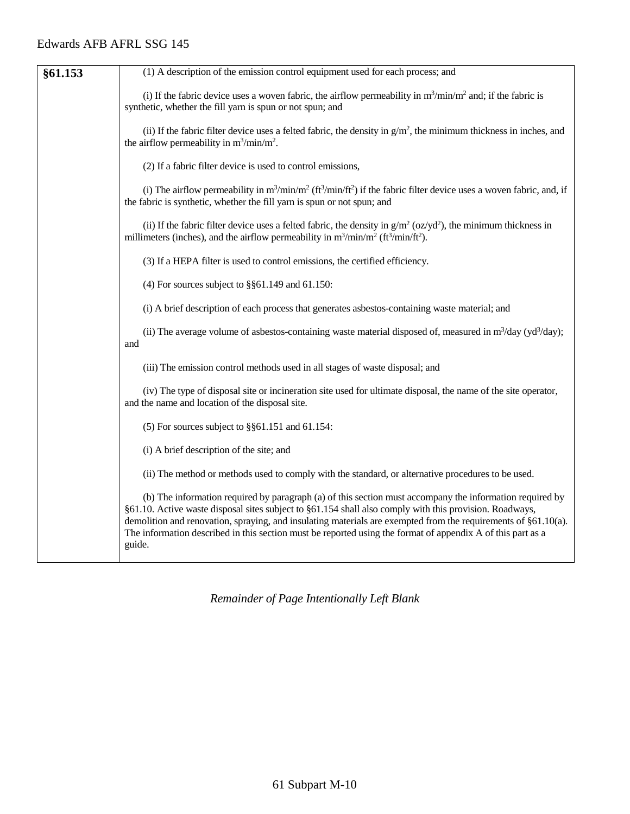| §61.153 | (1) A description of the emission control equipment used for each process; and                                                                                                                                                                                                                                                                                                                                                                                 |
|---------|----------------------------------------------------------------------------------------------------------------------------------------------------------------------------------------------------------------------------------------------------------------------------------------------------------------------------------------------------------------------------------------------------------------------------------------------------------------|
|         | (i) If the fabric device uses a woven fabric, the airflow permeability in $m^3/\text{min}/m^2$ and; if the fabric is<br>synthetic, whether the fill yarn is spun or not spun; and                                                                                                                                                                                                                                                                              |
|         | (ii) If the fabric filter device uses a felted fabric, the density in $g/m^2$ , the minimum thickness in inches, and<br>the airflow permeability in $m^3/\text{min}/m^2$ .                                                                                                                                                                                                                                                                                     |
|         | (2) If a fabric filter device is used to control emissions,                                                                                                                                                                                                                                                                                                                                                                                                    |
|         | (i) The airflow permeability in $m^3/min/m^2$ ( $ft^3/min/ft^2$ ) if the fabric filter device uses a woven fabric, and, if<br>the fabric is synthetic, whether the fill yarn is spun or not spun; and                                                                                                                                                                                                                                                          |
|         | (ii) If the fabric filter device uses a felted fabric, the density in $g/m^2$ (oz/yd <sup>2</sup> ), the minimum thickness in<br>millimeters (inches), and the airflow permeability in $m^3/\text{min}/m^2$ (ft <sup>3</sup> /min/ft <sup>2</sup> ).                                                                                                                                                                                                           |
|         | (3) If a HEPA filter is used to control emissions, the certified efficiency.                                                                                                                                                                                                                                                                                                                                                                                   |
|         | (4) For sources subject to $\S$ §61.149 and 61.150:                                                                                                                                                                                                                                                                                                                                                                                                            |
|         | (i) A brief description of each process that generates asbestos-containing waste material; and                                                                                                                                                                                                                                                                                                                                                                 |
|         | (ii) The average volume of asbestos-containing waste material disposed of, measured in $m^3$ /day (yd <sup>3</sup> /day);<br>and                                                                                                                                                                                                                                                                                                                               |
|         | (iii) The emission control methods used in all stages of waste disposal; and                                                                                                                                                                                                                                                                                                                                                                                   |
|         | (iv) The type of disposal site or incineration site used for ultimate disposal, the name of the site operator,<br>and the name and location of the disposal site.                                                                                                                                                                                                                                                                                              |
|         | (5) For sources subject to $\S$ §61.151 and 61.154:                                                                                                                                                                                                                                                                                                                                                                                                            |
|         | (i) A brief description of the site; and                                                                                                                                                                                                                                                                                                                                                                                                                       |
|         | (ii) The method or methods used to comply with the standard, or alternative procedures to be used.                                                                                                                                                                                                                                                                                                                                                             |
|         | (b) The information required by paragraph (a) of this section must accompany the information required by<br>§61.10. Active waste disposal sites subject to §61.154 shall also comply with this provision. Roadways,<br>demolition and renovation, spraying, and insulating materials are exempted from the requirements of §61.10(a).<br>The information described in this section must be reported using the format of appendix A of this part as a<br>guide. |

*Remainder of Page Intentionally Left Blank*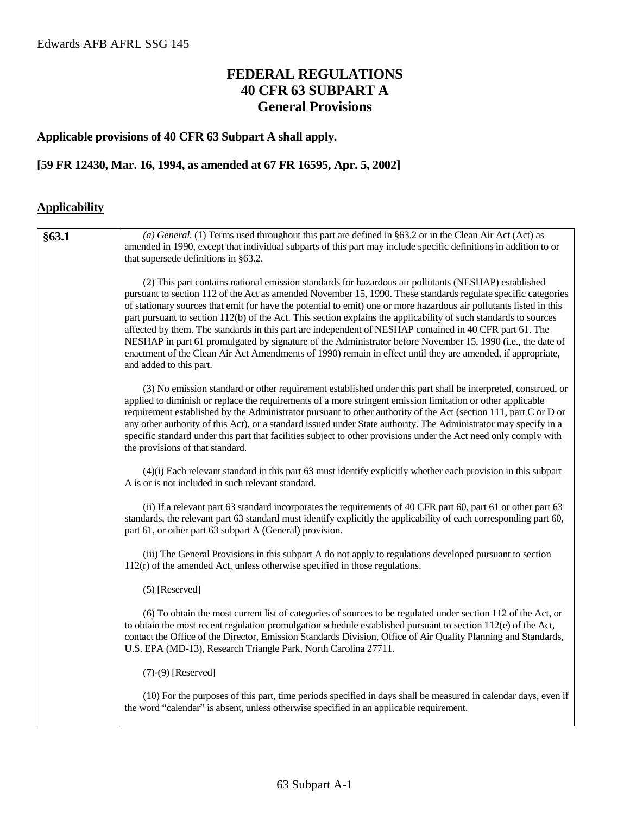# **FEDERAL REGULATIONS 40 CFR 63 SUBPART A General Provisions**

#### **Applicable provisions of 40 CFR 63 Subpart A shall apply.**

# **[59 FR 12430, Mar. 16, 1994, as amended at 67 FR 16595, Apr. 5, 2002]**

# **Applicability**

| §63.1 | (a) General. (1) Terms used throughout this part are defined in §63.2 or in the Clean Air Act (Act) as<br>amended in 1990, except that individual subparts of this part may include specific definitions in addition to or<br>that supersede definitions in §63.2.                                                                                                                                                                                                                                                                                                                                                                                                                                                                                                                                                                   |
|-------|--------------------------------------------------------------------------------------------------------------------------------------------------------------------------------------------------------------------------------------------------------------------------------------------------------------------------------------------------------------------------------------------------------------------------------------------------------------------------------------------------------------------------------------------------------------------------------------------------------------------------------------------------------------------------------------------------------------------------------------------------------------------------------------------------------------------------------------|
|       | (2) This part contains national emission standards for hazardous air pollutants (NESHAP) established<br>pursuant to section 112 of the Act as amended November 15, 1990. These standards regulate specific categories<br>of stationary sources that emit (or have the potential to emit) one or more hazardous air pollutants listed in this<br>part pursuant to section 112(b) of the Act. This section explains the applicability of such standards to sources<br>affected by them. The standards in this part are independent of NESHAP contained in 40 CFR part 61. The<br>NESHAP in part 61 promulgated by signature of the Administrator before November 15, 1990 (i.e., the date of<br>enactment of the Clean Air Act Amendments of 1990) remain in effect until they are amended, if appropriate,<br>and added to this part. |
|       | (3) No emission standard or other requirement established under this part shall be interpreted, construed, or<br>applied to diminish or replace the requirements of a more stringent emission limitation or other applicable<br>requirement established by the Administrator pursuant to other authority of the Act (section 111, part C or D or<br>any other authority of this Act), or a standard issued under State authority. The Administrator may specify in a<br>specific standard under this part that facilities subject to other provisions under the Act need only comply with<br>the provisions of that standard.                                                                                                                                                                                                        |
|       | (4)(i) Each relevant standard in this part 63 must identify explicitly whether each provision in this subpart<br>A is or is not included in such relevant standard.                                                                                                                                                                                                                                                                                                                                                                                                                                                                                                                                                                                                                                                                  |
|       | (ii) If a relevant part 63 standard incorporates the requirements of 40 CFR part 60, part 61 or other part 63<br>standards, the relevant part 63 standard must identify explicitly the applicability of each corresponding part 60,<br>part 61, or other part 63 subpart A (General) provision.                                                                                                                                                                                                                                                                                                                                                                                                                                                                                                                                      |
|       | (iii) The General Provisions in this subpart A do not apply to regulations developed pursuant to section<br>$112(r)$ of the amended Act, unless otherwise specified in those regulations.                                                                                                                                                                                                                                                                                                                                                                                                                                                                                                                                                                                                                                            |
|       | $(5)$ [Reserved]                                                                                                                                                                                                                                                                                                                                                                                                                                                                                                                                                                                                                                                                                                                                                                                                                     |
|       | (6) To obtain the most current list of categories of sources to be regulated under section 112 of the Act, or<br>to obtain the most recent regulation promulgation schedule established pursuant to section $112(e)$ of the Act,<br>contact the Office of the Director, Emission Standards Division, Office of Air Quality Planning and Standards,<br>U.S. EPA (MD-13), Research Triangle Park, North Carolina 27711.                                                                                                                                                                                                                                                                                                                                                                                                                |
|       | $(7)-(9)$ [Reserved]                                                                                                                                                                                                                                                                                                                                                                                                                                                                                                                                                                                                                                                                                                                                                                                                                 |
|       | (10) For the purposes of this part, time periods specified in days shall be measured in calendar days, even if<br>the word "calendar" is absent, unless otherwise specified in an applicable requirement.                                                                                                                                                                                                                                                                                                                                                                                                                                                                                                                                                                                                                            |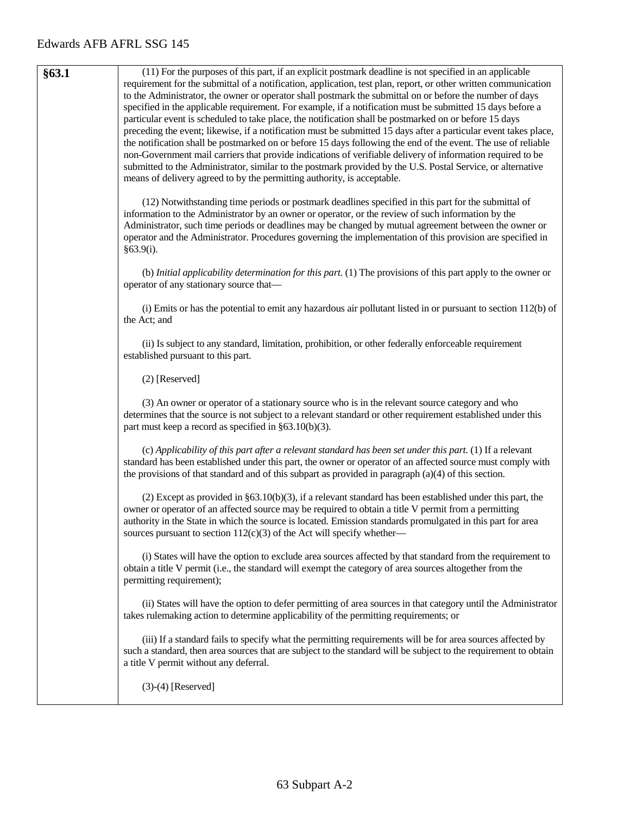| §63.1 | (11) For the purposes of this part, if an explicit postmark deadline is not specified in an applicable<br>requirement for the submittal of a notification, application, test plan, report, or other written communication<br>to the Administrator, the owner or operator shall postmark the submittal on or before the number of days<br>specified in the applicable requirement. For example, if a notification must be submitted 15 days before a<br>particular event is scheduled to take place, the notification shall be postmarked on or before 15 days<br>preceding the event; likewise, if a notification must be submitted 15 days after a particular event takes place,<br>the notification shall be postmarked on or before 15 days following the end of the event. The use of reliable<br>non-Government mail carriers that provide indications of verifiable delivery of information required to be<br>submitted to the Administrator, similar to the postmark provided by the U.S. Postal Service, or alternative<br>means of delivery agreed to by the permitting authority, is acceptable. |
|-------|------------------------------------------------------------------------------------------------------------------------------------------------------------------------------------------------------------------------------------------------------------------------------------------------------------------------------------------------------------------------------------------------------------------------------------------------------------------------------------------------------------------------------------------------------------------------------------------------------------------------------------------------------------------------------------------------------------------------------------------------------------------------------------------------------------------------------------------------------------------------------------------------------------------------------------------------------------------------------------------------------------------------------------------------------------------------------------------------------------|
|       | (12) Notwithstanding time periods or postmark deadlines specified in this part for the submittal of<br>information to the Administrator by an owner or operator, or the review of such information by the<br>Administrator, such time periods or deadlines may be changed by mutual agreement between the owner or<br>operator and the Administrator. Procedures governing the implementation of this provision are specified in<br>§63.9(i).                                                                                                                                                                                                                                                                                                                                                                                                                                                                                                                                                                                                                                                              |
|       | (b) Initial applicability determination for this part. (1) The provisions of this part apply to the owner or<br>operator of any stationary source that—                                                                                                                                                                                                                                                                                                                                                                                                                                                                                                                                                                                                                                                                                                                                                                                                                                                                                                                                                    |
|       | (i) Emits or has the potential to emit any hazardous air pollutant listed in or pursuant to section $112(b)$ of<br>the Act; and                                                                                                                                                                                                                                                                                                                                                                                                                                                                                                                                                                                                                                                                                                                                                                                                                                                                                                                                                                            |
|       | (ii) Is subject to any standard, limitation, prohibition, or other federally enforceable requirement<br>established pursuant to this part.                                                                                                                                                                                                                                                                                                                                                                                                                                                                                                                                                                                                                                                                                                                                                                                                                                                                                                                                                                 |
|       | (2) [Reserved]                                                                                                                                                                                                                                                                                                                                                                                                                                                                                                                                                                                                                                                                                                                                                                                                                                                                                                                                                                                                                                                                                             |
|       | (3) An owner or operator of a stationary source who is in the relevant source category and who<br>determines that the source is not subject to a relevant standard or other requirement established under this<br>part must keep a record as specified in $§63.10(b)(3)$ .                                                                                                                                                                                                                                                                                                                                                                                                                                                                                                                                                                                                                                                                                                                                                                                                                                 |
|       | (c) Applicability of this part after a relevant standard has been set under this part. (1) If a relevant<br>standard has been established under this part, the owner or operator of an affected source must comply with<br>the provisions of that standard and of this subpart as provided in paragraph $(a)(4)$ of this section.                                                                                                                                                                                                                                                                                                                                                                                                                                                                                                                                                                                                                                                                                                                                                                          |
|       | (2) Except as provided in $\S 63.10(b)(3)$ , if a relevant standard has been established under this part, the<br>owner or operator of an affected source may be required to obtain a title V permit from a permitting<br>authority in the State in which the source is located. Emission standards promulgated in this part for area<br>sources pursuant to section $112(c)(3)$ of the Act will specify whether—                                                                                                                                                                                                                                                                                                                                                                                                                                                                                                                                                                                                                                                                                           |
|       | (i) States will have the option to exclude area sources affected by that standard from the requirement to<br>obtain a title V permit (i.e., the standard will exempt the category of area sources altogether from the<br>permitting requirement);                                                                                                                                                                                                                                                                                                                                                                                                                                                                                                                                                                                                                                                                                                                                                                                                                                                          |
|       | (ii) States will have the option to defer permitting of area sources in that category until the Administrator<br>takes rulemaking action to determine applicability of the permitting requirements; or                                                                                                                                                                                                                                                                                                                                                                                                                                                                                                                                                                                                                                                                                                                                                                                                                                                                                                     |
|       | (iii) If a standard fails to specify what the permitting requirements will be for area sources affected by<br>such a standard, then area sources that are subject to the standard will be subject to the requirement to obtain<br>a title V permit without any deferral.                                                                                                                                                                                                                                                                                                                                                                                                                                                                                                                                                                                                                                                                                                                                                                                                                                   |

(3)-(4) [Reserved]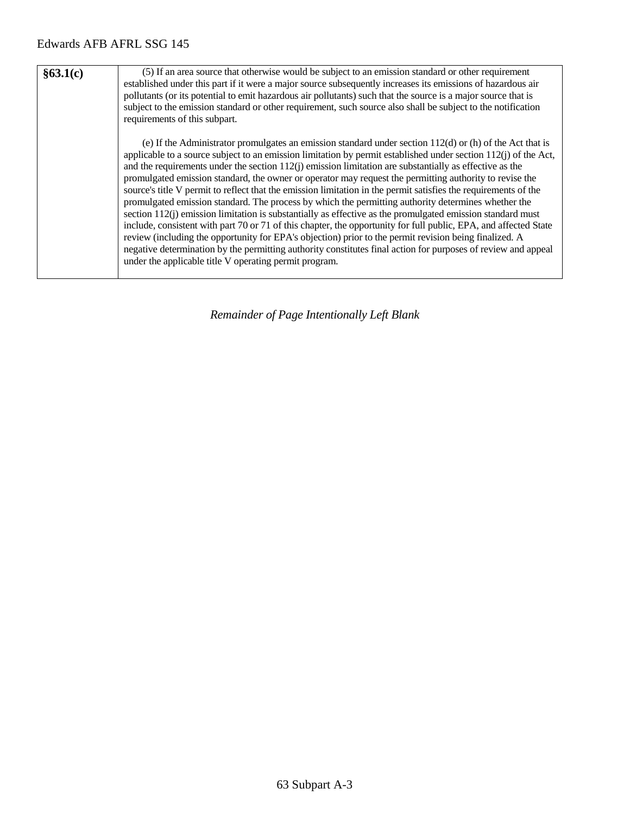| §63.1(c) | (5) If an area source that otherwise would be subject to an emission standard or other requirement<br>established under this part if it were a major source subsequently increases its emissions of hazardous air<br>pollutants (or its potential to emit hazardous air pollutants) such that the source is a major source that is<br>subject to the emission standard or other requirement, such source also shall be subject to the notification<br>requirements of this subpart.                                                                                                                                                                                                                                                                                                                                                                                                                                                                                                                                                                                                                                                                                                                        |
|----------|------------------------------------------------------------------------------------------------------------------------------------------------------------------------------------------------------------------------------------------------------------------------------------------------------------------------------------------------------------------------------------------------------------------------------------------------------------------------------------------------------------------------------------------------------------------------------------------------------------------------------------------------------------------------------------------------------------------------------------------------------------------------------------------------------------------------------------------------------------------------------------------------------------------------------------------------------------------------------------------------------------------------------------------------------------------------------------------------------------------------------------------------------------------------------------------------------------|
|          | (e) If the Administrator promulgates an emission standard under section $112(d)$ or (h) of the Act that is<br>applicable to a source subject to an emission limitation by permit established under section $112(i)$ of the Act,<br>and the requirements under the section $112(j)$ emission limitation are substantially as effective as the<br>promulgated emission standard, the owner or operator may request the permitting authority to revise the<br>source's title V permit to reflect that the emission limitation in the permit satisfies the requirements of the<br>promulgated emission standard. The process by which the permitting authority determines whether the<br>section $112(i)$ emission limitation is substantially as effective as the promulgated emission standard must<br>include, consistent with part 70 or 71 of this chapter, the opportunity for full public, EPA, and affected State<br>review (including the opportunity for EPA's objection) prior to the permit revision being finalized. A<br>negative determination by the permitting authority constitutes final action for purposes of review and appeal<br>under the applicable title V operating permit program. |

*Remainder of Page Intentionally Left Blank*